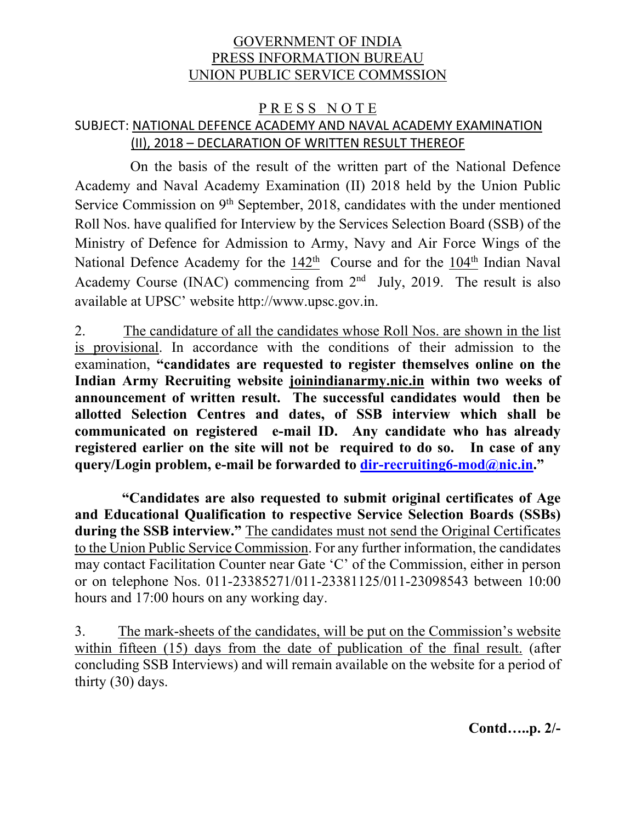# GOVERNMENT OF INDIA PRESS INFORMATION BUREAU UNION PUBLIC SERVICE COMMSSION

# PRESS NOTE SUBJECT: NATIONAL DEFENCE ACADEMY AND NAVAL ACADEMY EXAMINATION (II), 2018 – DECLARATION OF WRITTEN RESULT THEREOF

 On the basis of the result of the written part of the National Defence Academy and Naval Academy Examination (II) 2018 held by the Union Public Service Commission on 9<sup>th</sup> September, 2018, candidates with the under mentioned Roll Nos. have qualified for Interview by the Services Selection Board (SSB) of the Ministry of Defence for Admission to Army, Navy and Air Force Wings of the National Defence Academy for the  $142<sup>th</sup>$  Course and for the  $104<sup>th</sup>$  Indian Naval Academy Course (INAC) commencing from  $2<sup>nd</sup>$  July, 2019. The result is also available at UPSC' website http://www.upsc.gov.in.

2. The candidature of all the candidates whose Roll Nos. are shown in the list is provisional. In accordance with the conditions of their admission to the examination, **"candidates are requested to register themselves online on the Indian Army Recruiting website joinindianarmy.nic.in within two weeks of announcement of written result. The successful candidates would then be allotted Selection Centres and dates, of SSB interview which shall be communicated on registered e-mail ID. Any candidate who has already registered earlier on the site will not be required to do so. In case of any query/Login problem, e-mail be forwarded to dir-recruiting6-mod@nic.in."** 

 **"Candidates are also requested to submit original certificates of Age and Educational Qualification to respective Service Selection Boards (SSBs) during the SSB interview."** The candidates must not send the Original Certificates to the Union Public Service Commission. For any further information, the candidates may contact Facilitation Counter near Gate 'C' of the Commission, either in person or on telephone Nos. 011-23385271/011-23381125/011-23098543 between 10:00 hours and 17:00 hours on any working day.

3. The mark-sheets of the candidates, will be put on the Commission's website within fifteen (15) days from the date of publication of the final result. (after concluding SSB Interviews) and will remain available on the website for a period of thirty (30) days.

**Contd…..p. 2/-**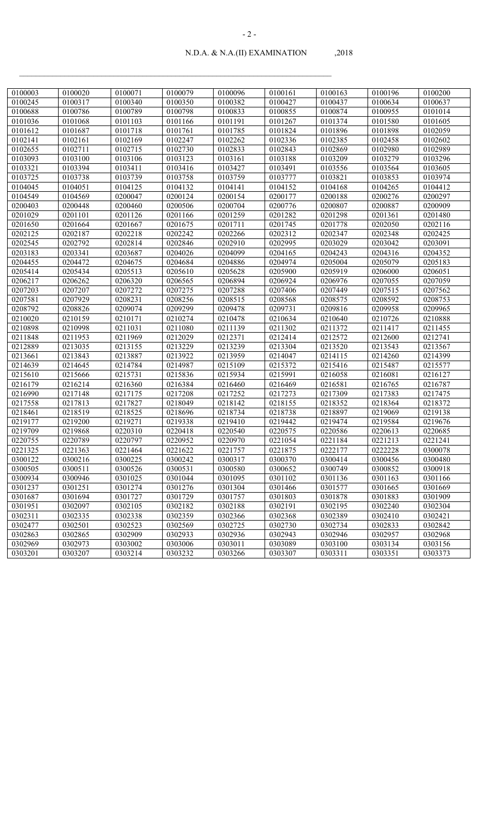| 0100003 | 0100020 | 0100071 | 0100079 | 0100096 | 0100161 | 0100163 | 0100196                        | 0100200 |
|---------|---------|---------|---------|---------|---------|---------|--------------------------------|---------|
| 0100245 | 0100317 | 0100340 | 0100350 | 0100382 | 0100427 | 0100437 | 0100634                        | 0100637 |
| 0100688 | 0100786 | 0100789 | 0100798 | 0100833 | 0100855 | 0100874 | 0100955                        | 0101014 |
| 0101036 | 0101068 | 0101103 | 0101166 | 0101191 | 0101267 | 0101374 | 0101580                        | 0101605 |
|         |         | 0101718 | 0101761 |         | 0101824 |         |                                | 0102059 |
| 0101612 | 0101687 |         |         | 0101785 |         | 0101896 | 0101898                        |         |
| 0102141 | 0102161 | 0102169 | 0102247 | 0102262 | 0102336 | 0102385 | 0102458<br>$\frac{1}{0102980}$ | 0102602 |
| 0102655 | 0102711 | 0102715 | 0102730 | 0102833 | 0102843 | 0102869 |                                | 0102989 |
| 0103093 | 0103100 | 0103106 | 0103123 | 0103161 | 0103188 | 0103209 | 0103279                        | 0103296 |
| 0103321 | 0103394 | 0103411 | 0103416 | 0103427 | 0103491 | 0103556 | 0103564                        | 0103605 |
| 0103725 | 0103738 | 0103739 | 0103758 | 0103759 | 0103777 | 0103821 | 0103853                        | 0103974 |
| 0104045 | 0104051 | 0104125 | 0104132 | 0104141 | 0104152 | 0104168 | 0104265                        | 0104412 |
| 0104549 | 0104569 | 0200047 | 0200124 | 0200154 | 0200177 | 0200188 | 0200276                        | 0200297 |
| 0200403 | 0200448 | 0200460 | 0200506 | 0200704 | 0200776 | 0200807 | 0200887                        | 0200909 |
| 0201029 | 0201101 | 0201126 | 0201166 | 0201259 | 0201282 | 0201298 | 0201361                        | 0201480 |
| 0201650 | 0201664 | 0201667 | 0201675 | 0201711 | 0201745 | 0201778 | 0202050                        | 0202116 |
| 0202125 | 0202187 | 0202218 | 0202242 | 0202266 | 0202312 | 0202347 | 0202348                        | 0202425 |
| 0202545 | 0202792 | 0202814 | 0202846 | 0202910 | 0202995 | 0203029 | 0203042                        | 0203091 |
| 0203183 | 0203341 | 0203687 | 0204026 | 0204099 | 0204165 | 0204243 | 0204316                        | 0204352 |
| 0204455 | 0204472 | 0204675 | 0204684 | 0204886 | 0204974 | 0205004 | 0205079                        | 0205183 |
| 0205414 | 0205434 | 0205513 | 0205610 | 0205628 | 0205900 | 0205919 | 0206000                        | 0206051 |
| 0206217 | 0206262 | 0206320 | 0206565 | 0206894 | 0206924 | 0206976 | 0207055                        | 0207059 |
| 0207203 | 0207207 | 0207272 | 0207275 | 0207288 | 0207406 | 0207449 | 0207515                        | 0207562 |
| 0207581 | 0207929 | 0208231 | 0208256 | 0208515 | 0208568 | 0208575 | 0208592                        | 0208753 |
| 0208792 | 0208826 | 0209074 | 0209299 | 0209478 | 0209731 | 0209816 | 0209958                        | 0209965 |
| 0210020 | 0210159 | 0210171 | 0210274 | 0210478 | 0210634 | 0210640 | 0210726                        | 0210888 |
| 0210898 | 0210998 | 0211031 | 0211080 | 0211139 | 0211302 | 0211372 | 0211417                        | 0211455 |
| 0211848 | 0211953 | 0211969 | 0212029 | 0212371 | 0212414 | 0212572 | 0212600                        | 0212741 |
| 0212889 | 0213035 | 0213155 | 0213229 | 0213239 | 0213304 | 0213520 | 0213543                        | 0213567 |
| 0213661 | 0213843 | 0213887 | 0213922 | 0213959 | 0214047 | 0214115 | 0214260                        | 0214399 |
| 0214639 | 0214645 | 0214784 | 0214987 | 0215109 | 0215372 | 0215416 | 0215487                        | 0215577 |
| 0215610 | 0215666 | 0215731 | 0215836 | 0215934 | 0215991 | 0216058 | 0216081                        | 0216127 |
| 0216179 | 0216214 | 0216360 | 0216384 | 0216460 | 0216469 | 0216581 | 0216765                        | 0216787 |
| 0216990 | 0217148 | 0217175 | 0217208 | 0217252 | 0217273 | 0217309 | 0217383                        | 0217475 |
| 0217558 | 0217813 | 0217827 | 0218049 | 0218142 | 0218155 | 0218352 | 0218364                        | 0218372 |
| 0218461 | 0218519 | 0218525 | 0218696 | 0218734 | 0218738 | 0218897 | 0219069                        | 0219138 |
| 0219177 | 0219200 | 0219271 | 0219338 | 0219410 | 0219442 | 0219474 | 0219584                        | 0219676 |
| 0219709 | 0219868 | 0220310 | 0220418 | 0220540 | 0220575 | 0220586 | 0220613                        | 0220685 |
| 0220755 | 0220789 | 0220797 | 0220952 | 0220970 | 0221054 | 0221184 | 0221213                        | 0221241 |
| 0221325 | 0221363 | 0221464 | 0221622 | 0221757 | 0221875 | 0222177 | 0222228                        | 0300078 |
| 0300122 | 0300216 | 0300225 | 0300242 | 0300317 | 0300370 | 0300414 | 0300456                        | 0300480 |
| 0300505 | 0300511 | 0300526 | 0300531 | 0300580 | 0300652 | 0300749 | 0300852                        | 0300918 |
| 0300934 | 0300946 | 0301025 | 0301044 | 0301095 | 0301102 | 0301136 | 0301163                        | 0301166 |
| 0301237 | 0301251 | 0301274 | 0301276 | 0301304 | 0301466 | 0301577 | 0301665                        | 0301669 |
| 0301687 | 0301694 | 0301727 | 0301729 | 0301757 | 0301803 | 0301878 | 0301883                        | 0301909 |
| 0301951 | 0302097 | 0302105 | 0302182 | 0302188 | 0302191 | 0302195 | 0302240                        | 0302304 |
| 0302311 | 0302335 | 0302338 | 0302359 | 0302366 | 0302368 | 0302389 | 0302410                        | 0302421 |
| 0302477 | 0302501 | 0302523 | 0302569 | 0302725 | 0302730 | 0302734 | 0302833                        | 0302842 |
| 0302863 | 0302865 | 0302909 | 0302933 | 0302936 | 0302943 | 0302946 | 0302957                        | 0302968 |
| 0302969 | 0302973 | 0303002 | 0303006 | 0303011 | 0303089 | 0303100 | 0303134                        | 0303156 |
| 0303201 | 0303207 | 0303214 | 0303232 | 0303266 | 0303307 | 0303311 | 0303351                        | 0303373 |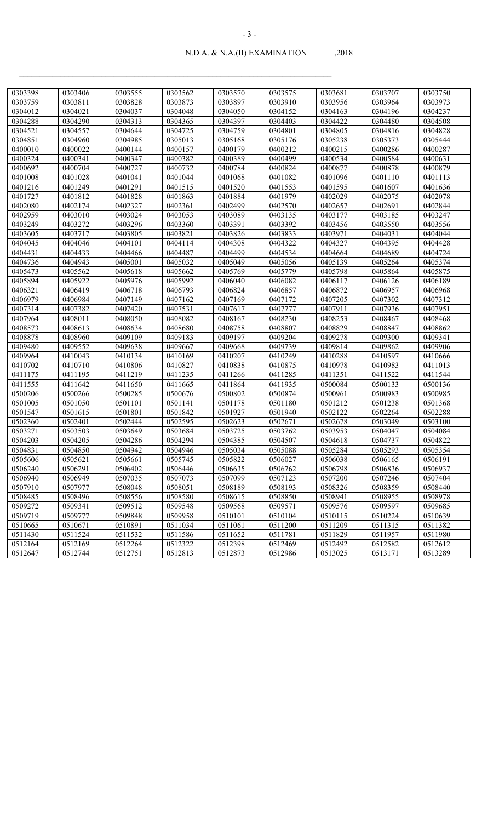- 3 -

| 2018 |
|------|
|      |

| 0303398 | 0303406 | 0303555 | 0303562 | 0303570 | 0303575 | 0303681 | 0303707 | 0303750 |
|---------|---------|---------|---------|---------|---------|---------|---------|---------|
| 0303759 | 0303811 | 0303828 | 0303873 | 0303897 | 0303910 | 0303956 | 0303964 | 0303973 |
| 0304012 | 0304021 | 0304037 | 0304048 | 0304050 | 0304152 | 0304163 | 0304196 | 0304237 |
| 0304288 | 0304290 | 0304313 | 0304365 | 0304397 | 0304403 | 0304422 | 0304480 | 0304508 |
| 0304521 | 0304557 | 0304644 | 0304725 | 0304759 | 0304801 | 0304805 | 0304816 | 0304828 |
| 0304851 | 0304960 | 0304985 | 0305013 | 0305168 | 0305176 | 0305238 | 0305373 | 0305444 |
| 0400010 | 0400022 | 0400144 | 0400157 | 0400179 | 0400212 | 0400215 | 0400286 | 0400287 |
| 0400324 | 0400341 | 0400347 | 0400382 | 0400389 | 0400499 | 0400534 | 0400584 | 0400631 |
| 0400692 | 0400704 | 0400727 | 0400732 | 0400784 | 0400824 | 0400877 | 0400878 | 0400879 |
| 0401008 | 0401028 | 0401041 | 0401044 | 0401068 | 0401082 | 0401096 | 0401110 | 0401113 |
| 0401216 | 0401249 | 0401291 | 0401515 | 0401520 | 0401553 | 0401595 | 0401607 | 0401636 |
| 0401727 | 0401812 | 0401828 | 0401863 | 0401884 | 0401979 | 0402029 | 0402075 | 0402078 |
| 0402080 | 0402174 | 0402327 | 0402361 | 0402499 | 0402570 | 0402657 | 0402691 | 0402844 |
| 0402959 | 0403010 | 0403024 | 0403053 | 0403089 | 0403135 | 0403177 | 0403185 | 0403247 |
| 0403249 | 0403272 | 0403296 | 0403360 | 0403391 | 0403392 | 0403456 | 0403550 | 0403556 |
| 0403605 | 0403717 | 0403805 | 0403821 | 0403826 | 0403833 | 0403971 | 0404031 | 0404044 |
| 0404045 | 0404046 | 0404101 | 0404114 | 0404308 | 0404322 | 0404327 | 0404395 | 0404428 |
| 0404431 | 0404433 | 0404466 | 0404487 | 0404499 | 0404534 | 0404664 | 0404689 | 0404724 |
| 0404736 | 0404943 | 0405001 | 0405032 | 0405049 | 0405056 | 0405139 | 0405264 | 0405374 |
| 0405473 | 0405562 | 0405618 | 0405662 | 0405769 | 0405779 | 0405798 | 0405864 | 0405875 |
| 0405894 | 0405922 | 0405976 | 0405992 | 0406040 | 0406082 | 0406117 | 0406126 | 0406189 |
| 0406321 | 0406419 | 0406718 | 0406793 | 0406824 | 0406857 | 0406872 | 0406957 | 0406968 |
| 0406979 | 0406984 | 0407149 | 0407162 | 0407169 | 0407172 | 0407205 | 0407302 | 0407312 |
| 0407314 | 0407382 | 0407420 | 0407531 | 0407617 | 0407777 | 0407911 | 0407936 | 0407951 |
| 0407964 | 0408011 | 0408050 | 0408082 | 0408167 | 0408230 | 0408253 | 0408467 | 0408468 |
| 0408573 | 0408613 | 0408634 | 0408680 | 0408758 | 0408807 | 0408829 | 0408847 | 0408862 |
| 0408878 | 0408960 | 0409109 | 0409183 | 0409197 | 0409204 | 0409278 | 0409300 | 0409341 |
| 0409480 | 0409552 | 0409638 | 0409667 | 0409668 | 0409739 | 0409814 | 0409862 | 0409906 |
| 0409964 | 0410043 | 0410134 | 0410169 | 0410207 | 0410249 | 0410288 | 0410597 | 0410666 |
| 0410702 | 0410710 | 0410806 | 0410827 | 0410838 | 0410875 | 0410978 | 0410983 | 0411013 |
| 0411175 | 0411195 | 0411219 | 0411235 | 0411266 | 0411285 | 0411351 | 0411522 | 0411544 |
| 0411555 | 0411642 | 0411650 | 0411665 | 0411864 | 0411935 | 0500084 | 0500133 | 0500136 |
| 0500206 | 0500266 | 0500285 | 0500676 | 0500802 | 0500874 | 0500961 | 0500983 | 0500985 |
| 0501005 | 0501050 | 0501101 | 0501141 | 0501178 | 0501180 | 0501212 | 0501238 | 0501368 |
| 0501547 | 0501615 | 0501801 | 0501842 | 0501927 | 0501940 | 0502122 | 0502264 | 0502288 |
| 0502360 | 0502401 | 0502444 | 0502595 | 0502623 | 0502671 | 0502678 | 0503049 | 0503100 |
| 0503271 | 0503503 | 0503649 | 0503684 | 0503725 | 0503762 | 0503953 | 0504047 | 0504084 |
| 0504203 | 0504205 | 0504286 | 0504294 | 0504385 | 0504507 | 0504618 | 0504737 | 0504822 |
| 0504831 | 0504850 | 0504942 | 0504946 | 0505034 | 0505088 | 0505284 | 0505293 | 0505354 |
| 0505606 | 0505621 | 0505661 | 0505745 | 0505822 | 0506027 | 0506038 | 0506165 | 0506191 |
| 0506240 | 0506291 | 0506402 | 0506446 | 0506635 | 0506762 | 0506798 | 0506836 | 0506937 |
| 0506940 | 0506949 | 0507035 | 0507073 | 0507099 | 0507123 | 0507200 | 0507246 | 0507404 |
| 0507910 | 0507977 | 0508048 | 0508051 | 0508189 | 0508193 | 0508326 | 0508359 | 0508440 |
| 0508485 | 0508496 | 0508556 | 0508580 | 0508615 | 0508850 | 0508941 | 0508955 | 0508978 |
| 0509272 | 0509341 | 0509512 | 0509548 | 0509568 | 0509571 | 0509576 | 0509597 | 0509685 |
| 0509719 | 0509777 | 0509848 | 0509958 | 0510101 | 0510104 | 0510115 | 0510224 | 0510639 |
| 0510665 | 0510671 | 0510891 | 0511034 | 0511061 | 0511200 | 0511209 | 0511315 | 0511382 |
| 0511430 | 0511524 | 0511532 | 0511586 | 0511652 | 0511781 | 0511829 | 0511957 | 0511980 |
| 0512164 | 0512169 | 0512264 | 0512322 | 0512398 | 0512469 | 0512492 | 0512582 | 0512612 |
| 0512647 | 0512744 | 0512751 | 0512813 | 0512873 | 0512986 | 0513025 | 0513171 | 0513289 |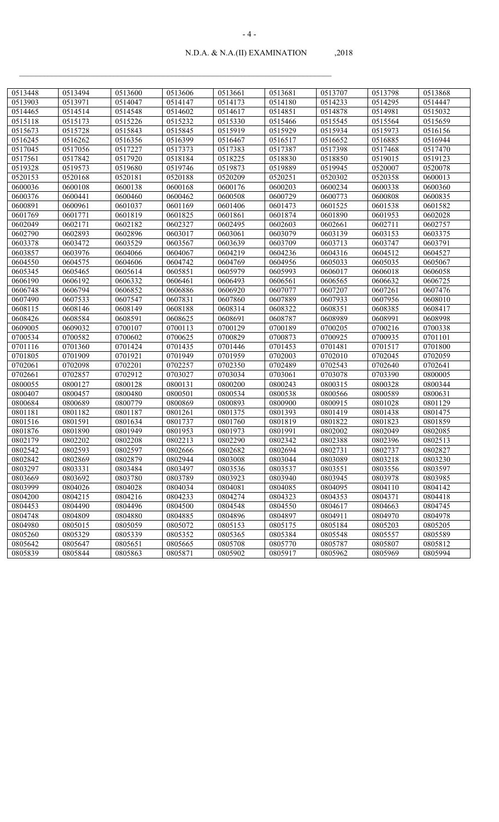| 0513448 | 0513494 | 0513600 | 0513606 | 0513661 | 0513681 | 0513707 | 0513798 | 0513868 |
|---------|---------|---------|---------|---------|---------|---------|---------|---------|
| 0513903 | 0513971 | 0514047 | 0514147 | 0514173 | 0514180 | 0514233 | 0514295 | 0514447 |
| 0514465 | 0514514 | 0514548 | 0514602 | 0514617 | 0514851 | 0514878 | 0514981 | 0515032 |
| 0515118 | 0515173 | 0515226 | 0515232 | 0515330 | 0515466 | 0515545 | 0515564 | 0515659 |
| 0515673 | 0515728 | 0515843 | 0515845 | 0515919 | 0515929 | 0515934 | 0515973 | 0516156 |
| 0516245 | 0516262 | 0516356 | 0516399 | 0516467 | 0516517 | 0516652 | 0516885 | 0516944 |
| 0517045 | 0517056 | 0517227 | 0517373 | 0517383 | 0517387 | 0517398 | 0517468 | 0517470 |
| 0517561 | 0517842 | 0517920 | 0518184 | 0518225 | 0518830 | 0518850 | 0519015 | 0519123 |
| 0519328 | 0519573 | 0519680 | 0519746 | 0519873 | 0519889 | 0519945 | 0520007 | 0520078 |
| 0520153 | 0520168 | 0520181 | 0520188 | 0520209 | 0520251 | 0520302 | 0520358 | 0600013 |
| 0600036 | 0600108 | 0600138 | 0600168 | 0600176 | 0600203 | 0600234 | 0600338 | 0600360 |
| 0600376 | 0600441 | 0600460 | 0600462 | 0600508 | 0600729 | 0600773 | 0600808 | 0600835 |
| 0600891 | 0600961 | 0601037 | 0601169 | 0601406 | 0601473 | 0601525 | 0601538 | 0601582 |
| 0601769 | 0601771 | 0601819 | 0601825 | 0601861 | 0601874 | 0601890 | 0601953 | 0602028 |
| 0602049 | 0602171 | 0602182 | 0602327 | 0602495 | 0602603 | 0602661 | 0602711 | 0602757 |
| 0602790 | 0602893 | 0602896 | 0603017 | 0603061 | 0603079 | 0603139 | 0603153 | 0603375 |
| 0603378 | 0603472 | 0603529 | 0603567 | 0603639 | 0603709 | 0603713 | 0603747 | 0603791 |
| 0603857 | 0603976 | 0604066 | 0604067 | 0604219 | 0604236 | 0604316 | 0604512 | 0604527 |
| 0604550 | 0604575 | 0604606 | 0604742 | 0604769 | 0604956 | 0605033 | 0605035 | 0605067 |
| 0605345 | 0605465 | 0605614 | 0605851 | 0605979 | 0605993 | 0606017 | 0606018 | 0606058 |
| 0606190 | 0606192 | 0606332 | 0606461 | 0606493 | 0606561 | 0606565 | 0606632 | 0606725 |
| 0606748 | 0606794 | 0606852 | 0606886 | 0606920 | 0607077 | 0607207 | 0607261 | 0607476 |
| 0607490 | 0607533 | 0607547 | 0607831 | 0607860 | 0607889 | 0607933 | 0607956 | 0608010 |
| 0608115 | 0608146 | 0608149 | 0608188 | 0608314 | 0608322 | 0608351 | 0608385 | 0608417 |
| 0608426 | 0608584 | 0608591 | 0608625 | 0608691 | 0608787 | 0608989 | 0608991 | 0608998 |
| 0609005 | 0609032 | 0700107 | 0700113 | 0700129 | 0700189 | 0700205 | 0700216 | 0700338 |
| 0700534 | 0700582 | 0700602 | 0700625 | 0700829 | 0700873 | 0700925 | 0700935 | 0701101 |
| 0701116 | 0701360 | 0701424 | 0701435 | 0701446 | 0701453 | 0701481 | 0701517 | 0701800 |
| 0701805 | 0701909 | 0701921 | 0701949 | 0701959 | 0702003 | 0702010 | 0702045 | 0702059 |
| 0702061 | 0702098 | 0702201 | 0702257 | 0702350 | 0702489 | 0702543 | 0702640 | 0702641 |
| 0702661 | 0702857 | 0702912 | 0703027 | 0703034 | 0703061 | 0703078 | 0703390 | 0800005 |
| 0800055 | 0800127 | 0800128 | 0800131 | 0800200 | 0800243 | 0800315 | 0800328 | 0800344 |
| 0800407 | 0800457 | 0800480 | 0800501 | 0800534 | 0800538 | 0800566 | 0800589 | 0800631 |
| 0800684 | 0800689 | 0800779 | 0800869 | 0800893 | 0800900 | 0800915 | 0801028 | 0801129 |
| 0801181 | 0801182 | 0801187 | 0801261 | 0801375 | 0801393 | 0801419 | 0801438 | 0801475 |
| 0801516 | 0801591 | 0801634 | 0801737 | 0801760 | 0801819 | 0801822 | 0801823 | 0801859 |
| 0801876 | 0801890 | 0801949 | 0801953 | 0801973 | 0801991 | 0802002 | 0802049 | 0802085 |
| 0802179 | 0802202 | 0802208 | 0802213 | 0802290 | 0802342 | 0802388 | 0802396 | 0802513 |
| 0802542 | 0802593 | 0802597 | 0802666 | 0802682 | 0802694 | 0802731 | 0802737 | 0802827 |
| 0802842 | 0802869 | 0802879 | 0802944 | 0803008 | 0803044 | 0803089 | 0803218 | 0803230 |
| 0803297 | 0803331 | 0803484 | 0803497 | 0803536 | 0803537 | 0803551 | 0803556 | 0803597 |
| 0803669 | 0803692 | 0803780 | 0803789 | 0803923 | 0803940 | 0803945 | 0803978 | 0803985 |
| 0803999 | 0804026 | 0804028 | 0804034 | 0804081 | 0804085 | 0804095 | 0804110 | 0804142 |
| 0804200 | 0804215 | 0804216 | 0804233 | 0804274 | 0804323 | 0804353 | 0804371 | 0804418 |
| 0804453 | 0804490 | 0804496 | 0804500 | 0804548 | 0804550 | 0804617 | 0804663 | 0804745 |
| 0804748 | 0804809 | 0804880 | 0804885 | 0804896 | 0804897 | 0804911 | 0804970 | 0804978 |
| 0804980 | 0805015 | 0805059 | 0805072 | 0805153 | 0805175 | 0805184 | 0805203 | 0805205 |
| 0805260 | 0805329 | 0805339 | 0805352 | 0805365 | 0805384 | 0805548 | 0805557 | 0805589 |
| 0805642 | 0805647 | 0805651 | 0805665 | 0805708 | 0805770 | 0805787 | 0805807 | 0805812 |
| 0805839 | 0805844 | 0805863 | 0805871 | 0805902 | 0805917 | 0805962 | 0805969 | 0805994 |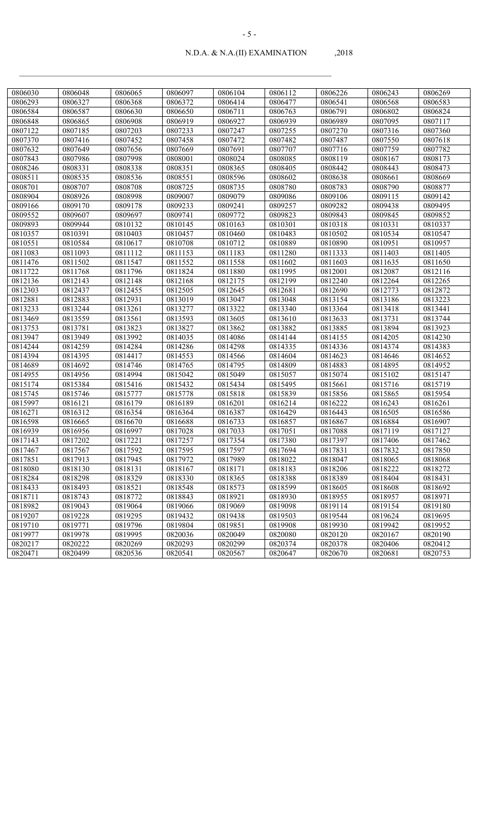| 0806030 | 0806048 | 0806065 | 0806097 | 0806104 | 0806112 | 0806226 | 0806243 | 0806269 |
|---------|---------|---------|---------|---------|---------|---------|---------|---------|
| 0806293 | 0806327 | 0806368 | 0806372 | 0806414 | 0806477 | 0806541 | 0806568 | 0806583 |
| 0806584 | 0806587 | 0806630 | 0806650 | 0806711 | 0806763 | 0806791 | 0806802 | 0806824 |
| 0806848 | 0806865 | 0806908 | 0806919 | 0806927 | 0806939 | 0806989 | 0807095 | 0807117 |
| 0807122 | 0807185 | 0807203 | 0807233 | 0807247 | 0807255 | 0807270 | 0807316 | 0807360 |
| 0807370 | 0807416 | 0807452 | 0807458 | 0807472 | 0807482 | 0807487 | 0807550 | 0807618 |
| 0807632 | 0807649 | 0807656 | 0807669 | 0807691 | 0807707 | 0807716 | 0807759 | 0807782 |
| 0807843 | 0807986 | 0807998 | 0808001 | 0808024 | 0808085 | 0808119 | 0808167 | 0808173 |
| 0808246 | 0808331 | 0808338 | 0808351 | 0808365 | 0808405 | 0808442 | 0808443 | 0808473 |
| 0808511 | 0808535 | 0808536 | 0808551 | 0808596 | 0808602 | 0808638 | 0808661 | 0808669 |
| 0808701 | 0808707 | 0808708 | 0808725 | 0808735 | 0808780 | 0808783 | 0808790 | 0808877 |
| 0808904 | 0808926 | 0808998 | 0809007 | 0809079 | 0809086 | 0809106 | 0809115 | 0809142 |
| 0809166 | 0809170 | 0809178 | 0809233 | 0809241 | 0809257 | 0809282 | 0809438 | 0809495 |
| 0809552 | 0809607 | 0809697 | 0809741 | 0809772 | 0809823 | 0809843 | 0809845 | 0809852 |
| 0809893 | 0809944 | 0810132 | 0810145 | 0810163 | 0810301 | 0810318 | 0810331 | 0810337 |
| 0810357 | 0810391 | 0810403 | 0810457 | 0810460 | 0810483 | 0810502 | 0810534 | 0810547 |
| 0810551 | 0810584 | 0810617 | 0810708 | 0810712 | 0810889 | 0810890 | 0810951 | 0810957 |
| 0811083 | 0811093 | 0811112 | 0811153 | 0811183 | 0811280 | 0811333 | 0811403 | 0811405 |
| 0811476 | 0811502 | 0811547 | 0811552 | 0811558 | 0811602 | 0811603 | 0811635 | 0811650 |
| 0811722 | 0811768 | 0811796 | 0811824 | 0811880 | 0811995 | 0812001 | 0812087 | 0812116 |
| 0812136 | 0812143 | 0812148 | 0812168 | 0812175 | 0812199 | 0812240 | 0812264 | 0812265 |
| 0812303 | 0812437 | 0812455 | 0812505 | 0812645 | 0812681 | 0812690 | 0812773 | 0812872 |
| 0812881 | 0812883 | 0812931 | 0813019 | 0813047 | 0813048 | 0813154 | 0813186 | 0813223 |
| 0813233 | 0813244 | 0813261 | 0813277 | 0813322 | 0813340 | 0813364 | 0813418 | 0813441 |
| 0813469 | 0813559 | 0813561 | 0813593 | 0813605 | 0813610 | 0813633 | 0813731 | 0813744 |
| 0813753 | 0813781 | 0813823 | 0813827 | 0813862 | 0813882 | 0813885 | 0813894 | 0813923 |
| 0813947 | 0813949 | 0813992 | 0814035 | 0814086 | 0814144 | 0814155 | 0814205 | 0814230 |
| 0814244 | 0814259 | 0814284 | 0814286 | 0814298 | 0814335 | 0814336 | 0814374 | 0814383 |
| 0814394 | 0814395 | 0814417 | 0814553 | 0814566 | 0814604 | 0814623 | 0814646 | 0814652 |
| 0814689 | 0814692 | 0814746 | 0814765 | 0814795 | 0814809 | 0814883 | 0814895 | 0814952 |
| 0814955 | 0814956 | 0814994 | 0815042 | 0815049 | 0815057 | 0815074 | 0815102 | 0815147 |
| 0815174 | 0815384 | 0815416 | 0815432 | 0815434 | 0815495 | 0815661 | 0815716 | 0815719 |
| 0815745 | 0815746 | 0815777 | 0815778 | 0815818 | 0815839 | 0815856 | 0815865 | 0815954 |
| 0815997 | 0816121 | 0816179 | 0816189 | 0816201 | 0816214 | 0816222 | 0816243 | 0816261 |
| 0816271 | 0816312 | 0816354 | 0816364 | 0816387 | 0816429 | 0816443 | 0816505 | 0816586 |
| 0816598 | 0816665 | 0816670 | 0816688 | 0816733 | 0816857 | 0816867 | 0816884 | 0816907 |
| 0816939 | 0816956 | 0816997 | 0817028 | 0817033 | 0817051 | 0817088 | 0817119 | 0817127 |
| 0817143 | 0817202 | 0817221 | 0817257 | 0817354 | 0817380 | 0817397 | 0817406 | 0817462 |
| 0817467 | 0817567 | 0817592 | 0817595 | 0817597 | 0817694 | 0817831 | 0817832 | 0817850 |
| 0817851 | 0817913 | 0817945 | 0817972 | 0817989 | 0818022 | 0818047 | 0818065 | 0818068 |
| 0818080 | 0818130 | 0818131 | 0818167 | 0818171 | 0818183 | 0818206 | 0818222 | 0818272 |
| 0818284 | 0818298 | 0818329 | 0818330 | 0818365 | 0818388 | 0818389 | 0818404 | 0818431 |
| 0818433 | 0818493 | 0818521 | 0818548 | 0818573 | 0818599 | 0818605 | 0818608 | 0818692 |
| 0818711 | 0818743 | 0818772 | 0818843 | 0818921 | 0818930 | 0818955 | 0818957 | 0818971 |
| 0818982 | 0819043 | 0819064 | 0819066 | 0819069 | 0819098 | 0819114 | 0819154 | 0819180 |
| 0819207 | 0819228 | 0819295 | 0819432 | 0819438 | 0819503 | 0819544 | 0819624 | 0819695 |
| 0819710 | 0819771 | 0819796 | 0819804 | 0819851 | 0819908 | 0819930 | 0819942 | 0819952 |
| 0819977 | 0819978 | 0819995 | 0820036 | 0820049 | 0820080 | 0820120 | 0820167 | 0820190 |
| 0820217 | 0820222 | 0820269 | 0820293 | 0820299 | 0820374 | 0820378 | 0820406 | 0820412 |
| 0820471 | 0820499 | 0820536 | 0820541 | 0820567 | 0820647 | 0820670 | 0820681 | 0820753 |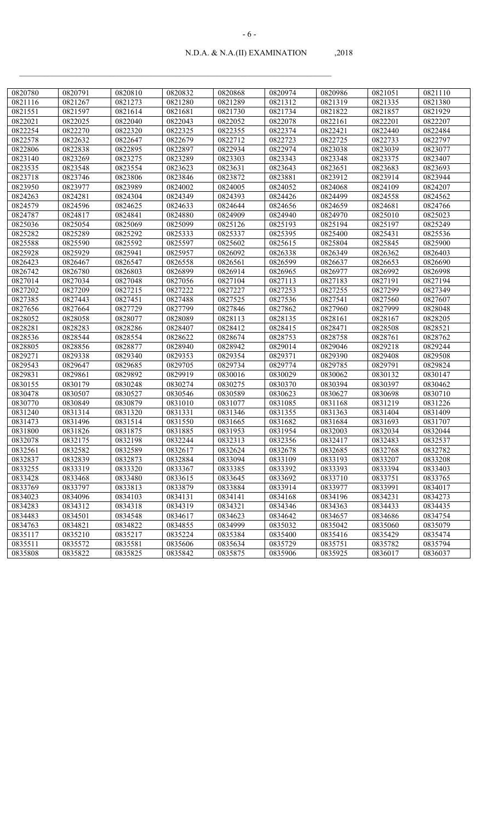| 0820780 | 0820791 | 0820810 | 0820832 | 0820868 | 0820974 | 0820986 | 0821051 | 0821110 |
|---------|---------|---------|---------|---------|---------|---------|---------|---------|
| 0821116 | 0821267 | 0821273 | 0821280 | 0821289 | 0821312 | 0821319 | 0821335 | 0821380 |
| 0821551 | 0821597 | 0821614 | 0821681 | 0821730 | 0821734 | 0821822 | 0821857 | 0821929 |
| 0822021 | 0822025 | 0822040 | 0822043 | 0822052 | 0822078 | 0822161 | 0822201 | 0822207 |
| 0822254 | 0822270 | 0822320 | 0822325 | 0822355 | 0822374 | 0822421 | 0822440 | 0822484 |
| 0822578 | 0822632 | 0822647 | 0822679 | 0822712 | 0822723 | 0822725 | 0822733 | 0822797 |
| 0822806 | 0822838 | 0822895 | 0822897 | 0822934 | 0822974 | 0823038 | 0823039 | 0823077 |
| 0823140 | 0823269 | 0823275 | 0823289 | 0823303 | 0823343 | 0823348 | 0823375 | 0823407 |
| 0823535 | 0823548 | 0823554 | 0823623 | 0823631 | 0823643 | 0823651 | 0823683 | 0823693 |
| 0823718 | 0823746 | 0823806 | 0823846 | 0823872 | 0823881 | 0823912 | 0823914 | 0823944 |
| 0823950 | 0823977 | 0823989 | 0824002 | 0824005 | 0824052 | 0824068 | 0824109 | 0824207 |
| 0824263 | 0824281 | 0824304 | 0824349 | 0824393 | 0824426 | 0824499 | 0824558 | 0824562 |
| 0824579 | 0824596 | 0824625 | 0824633 | 0824644 | 0824656 | 0824659 | 0824681 | 0824766 |
| 0824787 | 0824817 | 0824841 | 0824880 | 0824909 | 0824940 | 0824970 | 0825010 | 0825023 |
| 0825036 | 0825054 | 0825069 | 0825099 | 0825126 | 0825193 | 0825194 | 0825197 | 0825249 |
| 0825282 | 0825289 | 0825292 | 0825333 | 0825337 | 0825395 | 0825400 | 0825431 | 0825536 |
| 0825588 | 0825590 | 0825592 | 0825597 | 0825602 | 0825615 | 0825804 | 0825845 | 0825900 |
| 0825928 | 0825929 | 0825941 | 0825957 | 0826092 | 0826338 | 0826349 | 0826362 | 0826403 |
| 0826423 | 0826467 | 0826547 | 0826558 | 0826561 | 0826599 | 0826637 | 0826653 | 0826690 |
| 0826742 | 0826780 | 0826803 | 0826899 | 0826914 | 0826965 | 0826977 | 0826992 | 0826998 |
| 0827014 | 0827034 | 0827048 | 0827056 | 0827104 | 0827113 | 0827183 | 0827191 | 0827194 |
| 0827202 | 0827209 | 0827215 | 0827222 | 0827227 | 0827253 | 0827255 | 0827299 | 0827349 |
| 0827385 | 0827443 | 0827451 | 0827488 | 0827525 | 0827536 | 0827541 | 0827560 | 0827607 |
| 0827656 | 0827664 | 0827729 | 0827799 | 0827846 | 0827862 | 0827960 | 0827999 | 0828048 |
| 0828052 | 0828058 | 0828077 | 0828089 | 0828113 | 0828135 | 0828161 | 0828167 | 0828205 |
| 0828281 | 0828283 | 0828286 | 0828407 | 0828412 | 0828415 | 0828471 | 0828508 | 0828521 |
| 0828536 | 0828544 | 0828554 | 0828622 | 0828674 | 0828753 | 0828758 | 0828761 | 0828762 |
| 0828805 | 0828856 | 0828877 | 0828940 | 0828942 | 0829014 | 0829046 | 0829218 | 0829244 |
| 0829271 | 0829338 | 0829340 | 0829353 | 0829354 | 0829371 | 0829390 | 0829408 | 0829508 |
| 0829543 | 0829647 | 0829685 | 0829705 | 0829734 | 0829774 | 0829785 | 0829791 | 0829824 |
| 0829831 | 0829861 | 0829892 | 0829919 | 0830016 | 0830029 | 0830062 | 0830132 | 0830147 |
| 0830155 | 0830179 | 0830248 | 0830274 | 0830275 | 0830370 | 0830394 | 0830397 | 0830462 |
| 0830478 | 0830507 | 0830527 | 0830546 | 0830589 | 0830623 | 0830627 | 0830698 | 0830710 |
| 0830770 | 0830849 | 0830879 | 0831010 | 0831077 | 0831085 | 0831168 | 0831219 | 0831226 |
| 0831240 | 0831314 | 0831320 | 0831331 | 0831346 | 0831355 | 0831363 | 0831404 | 0831409 |
| 0831473 | 0831496 | 0831514 | 0831550 | 0831665 | 0831682 | 0831684 | 0831693 | 0831707 |
| 0831800 | 0831826 | 0831875 | 0831885 | 0831953 | 0831954 | 0832003 | 0832034 | 0832044 |
| 0832078 | 0832175 | 0832198 | 0832244 | 0832313 | 0832356 | 0832417 | 0832483 | 0832537 |
| 0832561 | 0832582 | 0832589 | 0832617 | 0832624 | 0832678 | 0832685 | 0832768 | 0832782 |
| 0832837 | 0832839 | 0832873 | 0832884 | 0833094 | 0833109 | 0833193 | 0833207 | 0833208 |
| 0833255 | 0833319 | 0833320 | 0833367 | 0833385 | 0833392 | 0833393 | 0833394 | 0833403 |
| 0833428 | 0833468 | 0833480 | 0833615 | 0833645 | 0833692 | 0833710 | 0833751 | 0833765 |
| 0833769 | 0833797 | 0833813 | 0833879 | 0833884 | 0833914 | 0833977 | 0833991 | 0834017 |
| 0834023 | 0834096 | 0834103 | 0834131 | 0834141 | 0834168 | 0834196 | 0834231 | 0834273 |
| 0834283 | 0834312 | 0834318 | 0834319 | 0834321 | 0834346 | 0834363 | 0834433 | 0834435 |
| 0834483 | 0834501 | 0834548 | 0834617 | 0834623 | 0834642 | 0834657 | 0834686 | 0834754 |
| 0834763 | 0834821 | 0834822 | 0834855 | 0834999 | 0835032 | 0835042 | 0835060 | 0835079 |
| 0835117 | 0835210 | 0835217 | 0835224 | 0835384 | 0835400 | 0835416 | 0835429 | 0835474 |
| 0835511 | 0835572 | 0835581 | 0835606 | 0835634 | 0835729 | 0835751 | 0835782 | 0835794 |
| 0835808 | 0835822 | 0835825 | 0835842 | 0835875 | 0835906 | 0835925 | 0836017 | 0836037 |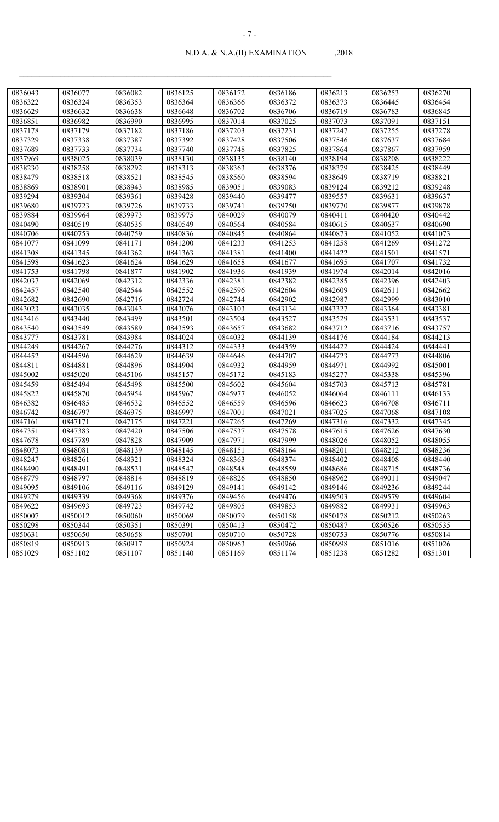| 0836043 | 0836077 | 0836082 | 0836125 | 0836172 | 0836186 | 0836213 | 0836253 | 0836270 |
|---------|---------|---------|---------|---------|---------|---------|---------|---------|
| 0836322 | 0836324 | 0836353 | 0836364 | 0836366 | 0836372 | 0836373 | 0836445 | 0836454 |
| 0836629 | 0836632 | 0836638 | 0836648 | 0836702 | 0836706 | 0836719 | 0836783 | 0836845 |
| 0836851 | 0836982 | 0836990 | 0836995 | 0837014 | 0837025 | 0837073 | 0837091 | 0837151 |
| 0837178 | 0837179 | 0837182 | 0837186 | 0837203 | 0837231 | 0837247 | 0837255 | 0837278 |
| 0837329 | 0837338 | 0837387 | 0837392 | 0837428 | 0837506 | 0837546 | 0837637 | 0837684 |
| 0837689 | 0837733 | 0837734 | 0837740 | 0837748 | 0837825 | 0837864 | 0837867 | 0837959 |
| 0837969 | 0838025 | 0838039 | 0838130 | 0838135 | 0838140 | 0838194 | 0838208 | 0838222 |
| 0838230 | 0838258 | 0838292 | 0838313 | 0838363 | 0838376 | 0838379 | 0838425 | 0838449 |
| 0838479 | 0838518 | 0838521 | 0838545 | 0838560 | 0838594 | 0838649 | 0838719 | 0838821 |
| 0838869 | 0838901 | 0838943 | 0838985 | 0839051 | 0839083 | 0839124 | 0839212 | 0839248 |
| 0839294 | 0839304 | 0839361 | 0839428 | 0839440 | 0839477 | 0839557 | 0839631 | 0839637 |
| 0839680 | 0839723 | 0839726 | 0839733 | 0839741 | 0839750 | 0839770 | 0839877 | 0839878 |
| 0839884 | 0839964 | 0839973 | 0839975 | 0840029 | 0840079 | 0840411 | 0840420 | 0840442 |
| 0840490 | 0840519 | 0840535 | 0840549 | 0840564 | 0840584 | 0840615 | 0840637 | 0840690 |
| 0840706 | 0840753 | 0840759 | 0840836 | 0840845 | 0840864 | 0840873 | 0841052 | 0841073 |
| 0841077 | 0841099 | 0841171 | 0841200 | 0841233 | 0841253 | 0841258 | 0841269 | 0841272 |
| 0841308 | 0841345 | 0841362 | 0841363 | 0841381 | 0841400 | 0841422 | 0841501 | 0841571 |
| 0841598 | 0841623 | 0841624 | 0841629 | 0841658 | 0841677 | 0841695 | 0841707 | 0841732 |
| 0841753 | 0841798 | 0841877 | 0841902 | 0841936 | 0841939 | 0841974 | 0842014 | 0842016 |
| 0842037 | 0842069 | 0842312 | 0842336 | 0842381 | 0842382 | 0842385 | 0842396 | 0842403 |
| 0842457 | 0842540 | 0842544 | 0842552 | 0842596 | 0842604 | 0842609 | 0842611 | 0842662 |
| 0842682 | 0842690 | 0842716 | 0842724 | 0842744 | 0842902 | 0842987 | 0842999 | 0843010 |
| 0843023 | 0843035 | 0843043 | 0843076 | 0843103 | 0843134 | 0843327 | 0843364 | 0843381 |
| 0843416 | 0843440 | 0843499 | 0843501 | 0843504 | 0843527 | 0843529 | 0843531 | 0843537 |
| 0843540 | 0843549 | 0843589 | 0843593 | 0843657 | 0843682 | 0843712 | 0843716 | 0843757 |
| 0843777 | 0843781 | 0843984 | 0844024 | 0844032 | 0844139 | 0844176 | 0844184 | 0844213 |
| 0844249 | 0844267 | 0844276 | 0844312 | 0844333 | 0844359 | 0844422 | 0844424 | 0844441 |
| 0844452 | 0844596 | 0844629 | 0844639 | 0844646 | 0844707 | 0844723 | 0844773 | 0844806 |
| 0844811 | 0844881 | 0844896 | 0844904 | 0844932 | 0844959 | 0844971 | 0844992 | 0845001 |
| 0845002 | 0845020 | 0845106 | 0845157 | 0845172 | 0845183 | 0845277 | 0845338 | 0845396 |
| 0845459 | 0845494 | 0845498 | 0845500 | 0845602 | 0845604 | 0845703 | 0845713 | 0845781 |
| 0845822 | 0845870 | 0845954 | 0845967 | 0845977 | 0846052 | 0846064 | 0846111 | 0846133 |
| 0846382 | 0846485 | 0846532 | 0846552 | 0846559 | 0846596 | 0846623 | 0846708 | 0846711 |
| 0846742 | 0846797 | 0846975 | 0846997 | 0847001 | 0847021 | 0847025 | 0847068 | 0847108 |
| 0847161 | 0847171 | 0847175 | 0847221 | 0847265 | 0847269 | 0847316 | 0847332 | 0847345 |
| 0847351 | 0847383 | 0847420 | 0847506 | 0847537 | 0847578 | 0847615 | 0847626 | 0847630 |
| 0847678 | 0847789 | 0847828 | 0847909 | 0847971 | 0847999 | 0848026 | 0848052 | 0848055 |
| 0848073 | 0848081 | 0848139 | 0848145 | 0848151 | 0848164 | 0848201 | 0848212 | 0848236 |
| 0848247 | 0848261 | 0848321 | 0848324 | 0848363 | 0848374 | 0848402 | 0848408 | 0848440 |
| 0848490 | 0848491 | 0848531 | 0848547 | 0848548 | 0848559 | 0848686 | 0848715 | 0848736 |
| 0848779 | 0848797 | 0848814 | 0848819 | 0848826 | 0848850 | 0848962 | 0849011 | 0849047 |
| 0849095 | 0849106 | 0849116 | 0849129 | 0849141 | 0849142 | 0849146 | 0849236 | 0849244 |
| 0849279 | 0849339 | 0849368 | 0849376 | 0849456 | 0849476 | 0849503 | 0849579 | 0849604 |
| 0849622 | 0849693 | 0849723 | 0849742 | 0849805 | 0849853 | 0849882 | 0849931 | 0849963 |
| 0850007 | 0850012 | 0850060 | 0850069 | 0850079 | 0850158 | 0850178 | 0850212 | 0850263 |
| 0850298 | 0850344 | 0850351 | 0850391 | 0850413 | 0850472 | 0850487 | 0850526 | 0850535 |
| 0850631 | 0850650 | 0850658 | 0850701 | 0850710 | 0850728 | 0850753 | 0850776 | 0850814 |
| 0850819 | 0850913 | 0850917 | 0850924 | 0850963 | 0850966 | 0850998 | 0851016 | 0851026 |
| 0851029 | 0851102 | 0851107 | 0851140 | 0851169 | 0851174 | 0851238 | 0851282 | 0851301 |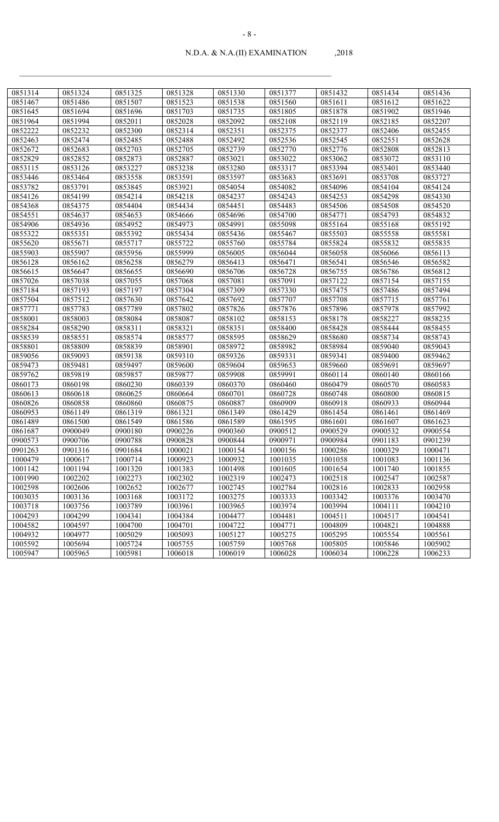| 0851314 | 0851324 | 0851325 | 0851328 | 0851330 | 0851377 | 0851432 | 0851434 | 0851436 |
|---------|---------|---------|---------|---------|---------|---------|---------|---------|
| 0851467 | 0851486 | 0851507 | 0851523 | 0851538 | 0851560 | 0851611 | 0851612 | 0851622 |
| 0851645 | 0851694 | 0851696 | 0851703 | 0851735 | 0851805 | 0851878 | 0851902 | 0851946 |
| 0851964 | 0851994 | 0852011 | 0852028 | 0852092 | 0852108 | 0852119 | 0852185 | 0852207 |
| 0852222 | 0852232 | 0852300 | 0852314 | 0852351 | 0852375 | 0852377 | 0852406 | 0852455 |
| 0852463 | 0852474 | 0852485 | 0852488 | 0852492 | 0852536 | 0852545 | 0852551 | 0852628 |
| 0852672 | 0852683 | 0852703 | 0852705 | 0852739 | 0852770 | 0852776 | 0852808 | 0852813 |
| 0852829 | 0852852 | 0852873 | 0852887 | 0853021 | 0853022 | 0853062 | 0853072 | 0853110 |
| 0853115 | 0853126 | 0853227 | 0853238 | 0853280 | 0853317 | 0853394 | 0853401 | 0853440 |
| 0853446 | 0853464 | 0853558 | 0853591 | 0853597 | 0853683 | 0853691 | 0853708 | 0853727 |
| 0853782 | 0853791 | 0853845 | 0853921 | 0854054 | 0854082 | 0854096 | 0854104 | 0854124 |
| 0854126 | 0854199 | 0854214 | 0854218 | 0854237 | 0854243 | 0854253 | 0854298 | 0854330 |
| 0854368 | 0854375 | 0854404 | 0854434 | 0854451 | 0854483 | 0854506 | 0854508 | 0854520 |
| 0854551 | 0854637 | 0854653 | 0854666 | 0854696 | 0854700 | 0854771 | 0854793 | 0854832 |
| 0854906 | 0854936 | 0854952 | 0854973 | 0854991 | 0855098 | 0855164 | 0855168 | 0855192 |
| 0855322 | 0855351 | 0855392 | 0855434 | 0855436 | 0855467 | 0855503 | 0855558 | 0855581 |
| 0855620 | 0855671 | 0855717 | 0855722 | 0855760 | 0855784 | 0855824 | 0855832 | 0855835 |
| 0855903 | 0855907 | 0855956 | 0855999 | 0856005 | 0856044 | 0856058 | 0856066 | 0856113 |
| 0856128 | 0856162 | 0856258 | 0856279 | 0856413 | 0856471 | 0856541 | 0856546 | 0856582 |
| 0856615 | 0856647 | 0856655 | 0856690 | 0856706 | 0856728 | 0856755 | 0856786 | 0856812 |
| 0857026 | 0857038 | 0857055 | 0857068 | 0857081 | 0857091 | 0857122 | 0857154 | 0857155 |
| 0857184 | 0857193 | 0857197 | 0857304 | 0857309 | 0857330 | 0857475 | 0857486 | 0857494 |
| 0857504 | 0857512 | 0857630 | 0857642 | 0857692 | 0857707 | 0857708 | 0857715 | 0857761 |
| 0857771 | 0857783 | 0857789 | 0857802 | 0857826 | 0857876 | 0857896 | 0857978 | 0857992 |
| 0858001 | 0858003 | 0858084 | 0858087 | 0858102 | 0858153 | 0858178 | 0858227 | 0858235 |
| 0858284 | 0858290 | 0858311 | 0858321 | 0858351 | 0858400 | 0858428 | 0858444 | 0858455 |
| 0858539 | 0858551 | 0858574 | 0858577 | 0858595 | 0858629 | 0858680 | 0858734 | 0858743 |
| 0858801 | 0858809 | 0858839 | 0858901 | 0858972 | 0858982 | 0858984 | 0859040 | 0859043 |
| 0859056 | 0859093 | 0859138 | 0859310 | 0859326 | 0859331 | 0859341 | 0859400 | 0859462 |
| 0859473 | 0859481 | 0859497 | 0859600 | 0859604 | 0859653 | 0859660 | 0859691 | 0859697 |
| 0859762 | 0859819 | 0859857 | 0859877 | 0859908 | 0859991 | 0860114 | 0860140 | 0860166 |
| 0860173 | 0860198 | 0860230 | 0860339 | 0860370 | 0860460 | 0860479 | 0860570 | 0860583 |
| 0860613 | 0860618 | 0860625 | 0860664 | 0860701 | 0860728 | 0860748 | 0860800 | 0860815 |
| 0860826 | 0860858 | 0860860 | 0860875 | 0860887 | 0860909 | 0860918 | 0860933 | 0860944 |
| 0860953 | 0861149 | 0861319 | 0861321 | 0861349 | 0861429 | 0861454 | 0861461 | 0861469 |
| 0861489 | 0861500 | 0861549 | 0861586 | 0861589 | 0861595 | 0861601 | 0861607 | 0861623 |
| 0861687 | 0900049 | 0900180 | 0900226 | 0900360 | 0900512 | 0900529 | 0900532 | 0900554 |
| 0900573 | 0900706 | 0900788 | 0900828 | 0900844 | 0900971 | 0900984 | 0901183 | 0901239 |
| 0901263 | 0901316 | 0901684 | 1000021 | 1000154 | 1000156 | 1000286 | 1000329 | 1000471 |
| 1000479 | 1000617 | 1000714 | 1000923 | 1000932 | 1001035 | 1001058 | 1001083 | 1001136 |
| 1001142 | 1001194 | 1001320 | 1001383 | 1001498 | 1001605 | 1001654 | 1001740 | 1001855 |
| 1001990 | 1002202 | 1002273 | 1002302 | 1002319 | 1002473 | 1002518 | 1002547 | 1002587 |
| 1002598 | 1002606 | 1002652 | 1002677 | 1002745 | 1002784 | 1002816 | 1002833 | 1002958 |
| 1003035 | 1003136 | 1003168 | 1003172 | 1003275 | 1003333 | 1003342 | 1003376 | 1003470 |
| 1003718 | 1003756 | 1003789 | 1003961 | 1003965 | 1003974 | 1003994 | 1004111 | 1004210 |
| 1004293 | 1004299 | 1004341 | 1004384 | 1004477 | 1004481 | 1004511 | 1004517 | 1004541 |
| 1004582 | 1004597 | 1004700 | 1004701 | 1004722 | 1004771 | 1004809 | 1004821 | 1004888 |
| 1004932 | 1004977 | 1005029 | 1005093 | 1005127 | 1005275 | 1005295 | 1005554 | 1005561 |
| 1005592 | 1005694 | 1005724 | 1005755 | 1005759 | 1005768 | 1005805 | 1005846 | 1005902 |
| 1005947 | 1005965 | 1005981 | 1006018 | 1006019 | 1006028 | 1006034 | 1006228 | 1006233 |
|         |         |         |         |         |         |         |         |         |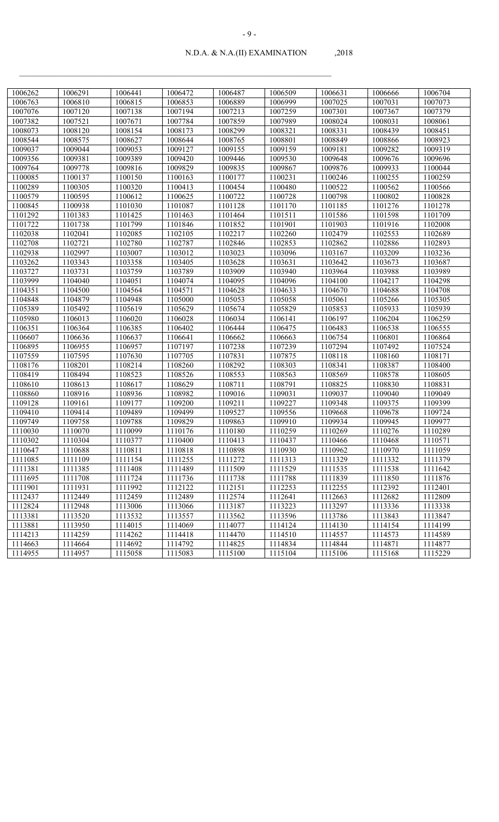| 1006262 | 1006291 | 1006441 | 1006472 | 1006487 | 1006509 | 1006631 | 1006666 | 1006704 |
|---------|---------|---------|---------|---------|---------|---------|---------|---------|
| 1006763 | 1006810 | 1006815 | 1006853 | 1006889 | 1006999 | 1007025 | 1007031 | 1007073 |
| 1007076 | 1007120 | 1007138 | 1007194 | 1007213 | 1007259 | 1007301 | 1007367 | 1007379 |
| 1007382 | 1007521 | 1007671 | 1007784 | 1007859 | 1007989 | 1008024 | 1008031 | 1008061 |
| 1008073 | 1008120 | 1008154 | 1008173 | 1008299 | 1008321 | 1008331 | 1008439 | 1008451 |
| 1008544 | 1008575 | 1008627 | 1008644 | 1008765 | 1008801 | 1008849 | 1008866 | 1008923 |
| 1009037 | 1009044 | 1009053 | 1009127 | 1009155 | 1009159 | 1009181 | 1009282 | 1009319 |
| 1009356 | 1009381 | 1009389 | 1009420 | 1009446 | 1009530 | 1009648 | 1009676 | 1009696 |
| 1009764 | 1009778 | 1009816 | 1009829 | 1009835 | 1009867 | 1009876 | 1009933 | 1100044 |
| 1100085 | 1100137 | 1100150 | 1100163 | 1100177 | 1100231 | 1100246 | 1100255 | 1100259 |
| 1100289 | 1100305 | 1100320 | 1100413 | 1100454 | 1100480 | 1100522 | 1100562 | 1100566 |
| 1100579 | 1100595 | 1100612 | 1100625 | 1100722 | 1100728 | 1100798 | 1100802 | 1100828 |
| 1100845 | 1100938 | 1101030 | 1101087 | 1101128 | 1101170 | 1101185 | 1101276 | 1101278 |
| 1101292 | 1101383 | 1101425 | 1101463 | 1101464 | 1101511 | 1101586 | 1101598 | 1101709 |
| 1101722 | 1101738 | 1101799 | 1101846 | 1101852 | 1101901 | 1101903 | 1101916 | 1102008 |
| 1102038 | 1102041 | 1102085 | 1102105 | 1102217 | 1102260 | 1102479 | 1102553 | 1102689 |
| 1102708 | 1102721 | 1102780 | 1102787 | 1102846 | 1102853 | 1102862 | 1102886 | 1102893 |
| 1102938 | 1102997 | 1103007 | 1103012 | 1103023 | 1103096 | 1103167 | 1103209 | 1103236 |
| 1103262 | 1103343 | 1103358 | 1103405 | 1103628 | 1103631 | 1103642 | 1103673 | 1103687 |
| 1103727 | 1103731 | 1103759 | 1103789 | 1103909 | 1103940 | 1103964 | 1103988 | 1103989 |
| 1103999 | 1104040 | 1104051 | 1104074 | 1104095 | 1104096 | 1104100 | 1104217 | 1104298 |
| 1104351 | 1104500 | 1104564 | 1104571 | 1104628 | 1104633 | 1104670 | 1104688 | 1104708 |
| 1104848 | 1104879 | 1104948 | 1105000 | 1105053 | 1105058 | 1105061 | 1105266 | 1105305 |
| 1105389 | 1105492 | 1105619 | 1105629 | 1105674 | 1105829 | 1105853 | 1105933 | 1105939 |
| 1105980 | 1106013 | 1106020 | 1106028 | 1106034 | 1106141 | 1106197 | 1106204 | 1106259 |
| 1106351 | 1106364 | 1106385 | 1106402 | 1106444 | 1106475 | 1106483 | 1106538 | 1106555 |
| 1106607 | 1106636 | 1106637 | 1106641 | 1106662 | 1106663 | 1106754 | 1106801 | 1106864 |
| 1106895 | 1106955 | 1106957 | 1107197 | 1107238 | 1107239 | 1107294 | 1107492 | 1107524 |
| 1107559 | 1107595 | 1107630 | 1107705 | 1107831 | 1107875 | 1108118 | 1108160 | 1108171 |
| 1108176 | 1108201 | 1108214 | 1108260 | 1108292 | 1108303 | 1108341 | 1108387 | 1108400 |
| 1108419 | 1108494 | 1108523 | 1108526 | 1108553 | 1108563 | 1108569 | 1108578 | 1108605 |
| 1108610 | 1108613 | 1108617 | 1108629 | 1108711 | 1108791 | 1108825 | 1108830 | 1108831 |
| 1108860 | 1108916 | 1108936 | 1108982 | 1109016 | 1109031 | 1109037 | 1109040 | 1109049 |
| 1109128 | 1109161 | 1109177 | 1109200 | 1109211 | 1109227 | 1109348 | 1109375 | 1109399 |
| 1109410 | 1109414 | 1109489 | 1109499 | 1109527 | 1109556 | 1109668 | 1109678 | 1109724 |
| 1109749 | 1109758 | 1109788 | 1109829 | 1109863 | 1109910 | 1109934 | 1109945 | 1109977 |
| 1110030 | 1110070 | 1110099 | 1110176 | 1110180 | 1110259 | 1110269 | 1110276 | 1110289 |
| 1110302 | 1110304 | 1110377 | 1110400 | 1110413 | 1110437 | 1110466 | 1110468 | 1110571 |
| 1110647 | 1110688 | 1110811 | 1110818 | 1110898 | 1110930 | 1110962 | 1110970 | 1111059 |
| 1111085 | 1111109 | 1111154 | 1111255 | 1111272 | 1111313 | 1111329 | 1111332 | 1111379 |
| 1111381 | 1111385 | 1111408 | 1111489 | 1111509 | 1111529 | 1111535 | 1111538 | 1111642 |
| 1111695 | 1111708 | 1111724 | 1111736 | 1111738 | 1111788 | 1111839 | 1111850 | 1111876 |
| 1111901 | 1111931 | 1111992 | 1112122 | 1112151 | 1112253 | 1112255 | 1112392 | 1112401 |
| 1112437 | 1112449 | 1112459 | 1112489 | 1112574 | 1112641 | 1112663 | 1112682 | 1112809 |
| 1112824 | 1112948 | 1113006 | 1113066 | 1113187 | 1113223 | 1113297 | 1113336 | 1113338 |
| 1113381 | 1113520 | 1113532 | 1113557 | 1113562 | 1113596 | 1113786 | 1113843 | 1113847 |
| 1113881 | 1113950 | 1114015 | 1114069 | 1114077 | 1114124 | 1114130 | 1114154 | 1114199 |
| 1114213 | 1114259 | 1114262 | 1114418 | 1114470 | 1114510 | 1114557 | 1114573 | 1114589 |
| 1114663 | 1114664 | 1114692 | 1114792 | 1114825 | 1114834 | 1114844 | 1114871 | 1114877 |
| 1114955 | 1114957 | 1115058 | 1115083 | 1115100 | 1115104 | 1115106 | 1115168 | 1115229 |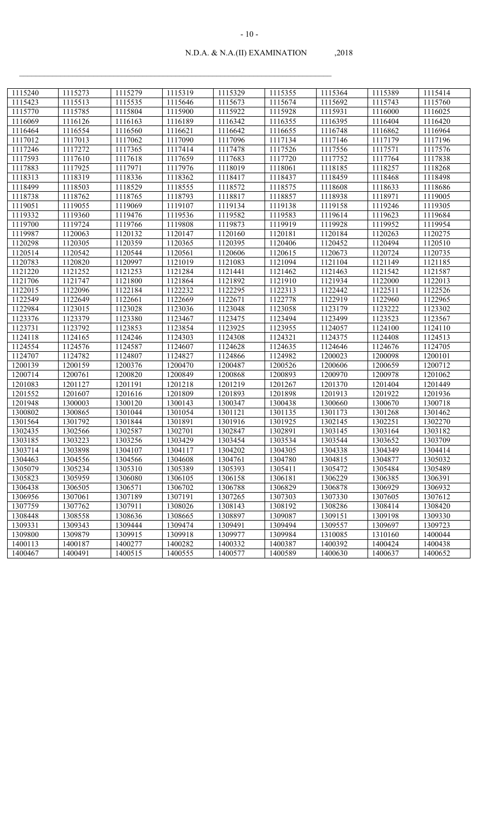| 1115423<br>1115513<br>1115535<br>1115646<br>1115673<br>1115674<br>1115692<br>1115743<br>1115760<br>1115785<br>1115804<br>1115900<br>1115922<br>1115928<br>1115770<br>1115931<br>1116000<br>1116025<br>1116126<br>1116163<br>1116189<br>1116342<br>1116355<br>1116395<br>1116404<br>1116069<br>1116420<br>1116464<br>1116554<br>1116560<br>1116621<br>1116642<br>1116655<br>1116748<br>1116862<br>1116964<br>1117012<br>1117013<br>1117062<br>1117090<br>1117096<br>1117134<br>1117146<br>1117179<br>1117196<br>1117365<br>1117526<br>1117556<br>1117246<br>1117272<br>1117414<br>1117478<br>1117571<br>1117576<br>1117593<br>1117610<br>1117618<br>1117659<br>1117683<br>1117720<br>1117752<br>1117764<br>1117838<br>1117883<br>1117925<br>1117971<br>1117976<br>1118185<br>1118257<br>1118268<br>1118019<br>1118061<br>1118313<br>1118319<br>1118336<br>1118362<br>1118417<br>1118437<br>1118459<br>1118468<br>1118498<br>1118499<br>1118529<br>1118572<br>1118575<br>1118608<br>1118633<br>1118503<br>1118555<br>1118686<br>1118738<br>1118762<br>1118765<br>1118793<br>1118817<br>1118857<br>1118938<br>1118971<br>1119005<br>1119051<br>1119055<br>1119069<br>1119107<br>1119134<br>1119138<br>1119158<br>1119246<br>1119305<br>1119332<br>1119582<br>1119583<br>1119360<br>1119476<br>1119536<br>1119614<br>1119623<br>1119684<br>1119700<br>1119766<br>1119808<br>1119873<br>1119919<br>1119928<br>1119952<br>1119724<br>1119954<br>1120181<br>1119987<br>1120063<br>1120132<br>1120147<br>1120160<br>1120184<br>1120263<br>1120275<br>1120298<br>1120305<br>1120359<br>1120365<br>1120395<br>1120406<br>1120452<br>1120494<br>1120510<br>1120514<br>1120542<br>1120544<br>1120561<br>1120606<br>1120615<br>1120673<br>1120724<br>1120735<br>1120783<br>1120820<br>1120997<br>1121019<br>1121083<br>1121094<br>1121104<br>1121149<br>1121185<br>1121220<br>1121252<br>1121253<br>1121284<br>1121441<br>1121462<br>1121463<br>1121542<br>1121587<br>1121706<br>1121747<br>1121800<br>1121864<br>1121892<br>1121910<br>1121934<br>1122000<br>1122013<br>1122015<br>1122184<br>1122232<br>1122295<br>1122313<br>1122442<br>1122511<br>1122526<br>1122096<br>1122549<br>1122669<br>1122671<br>1122778<br>1122919<br>1122649<br>1122661<br>1122960<br>1122965<br>1122984<br>1123048<br>1123058<br>1123179<br>1123222<br>1123015<br>1123028<br>1123036<br>1123302<br>1123376<br>1123380<br>1123467<br>1123475<br>1123494<br>1123523<br>1123567<br>1123379<br>1123499<br>1123731<br>1123925<br>1123955<br>1123792<br>1123853<br>1123854<br>1124057<br>1124100<br>1124110<br>1124118<br>1124165<br>1124246<br>1124303<br>1124308<br>1124321<br>1124375<br>1124408<br>1124513<br>1124554<br>1124576<br>1124587<br>1124607<br>1124628<br>1124635<br>1124676<br>1124705<br>1124646<br>1124707<br>1124782<br>1124807<br>1124827<br>1124982<br>1200023<br>1124866<br>1200098<br>1200101<br>1200159<br>1200376<br>1200470<br>1200487<br>1200526<br>1200606<br>1200659<br>1200712<br>1200139<br>1200761<br>1200820<br>1200849<br>1200868<br>1200893<br>1200970<br>1201062<br>1200714<br>1200978<br>1201218<br>1201219<br>1201267<br>1201370<br>1201404<br>1201083<br>1201127<br>1201191<br>1201449<br>1201552<br>1201616<br>1201809<br>1201893<br>1201898<br>1201913<br>1201922<br>1201936<br>1201607<br>1201948<br>1300003<br>1300120<br>1300143<br>1300347<br>1300438<br>1300660<br>1300670<br>1300718<br>1300802<br>1300865<br>1301044<br>1301054<br>1301121<br>1301135<br>1301173<br>1301268<br>1301462<br>1301925<br>1302145<br>1302251<br>1301564<br>1301792<br>1301844<br>1301891<br>1301916<br>1302270<br>1302435<br>1302587<br>1302701<br>1302847<br>1302891<br>1303145<br>1303164<br>1303182<br>1302566<br>1303185<br>1303223<br>1303256<br>1303429<br>1303454<br>1303534<br>1303544<br>1303652<br>1303709<br>1303714<br>1303898<br>1304107<br>1304117<br>1304202<br>1304305<br>1304338<br>1304349<br>1304414<br>1304463<br>1304556<br>1304566<br>1304608<br>1304761<br>1304780<br>1304815<br>1304877<br>1305032<br>1305310<br>1305389<br>1305393<br>1305411<br>1305472<br>1305079<br>1305234<br>1305484<br>1305489<br>1306080<br>1306105<br>1306158<br>1306181<br>1306229<br>1305823<br>1305959<br>1306385<br>1306391<br>1306438<br>1306505<br>1306571<br>1306702<br>1306788<br>1306829<br>1306878<br>1306929<br>1306932<br>1307330<br>1307061<br>1307189<br>1307191<br>1307265<br>1307303<br>1307605<br>1307612<br>1306956<br>1307759<br>1307762<br>1307911<br>1308143<br>1308192<br>1308286<br>1308414<br>1308026<br>1308420<br>1308448<br>1308558<br>1308665<br>1309087<br>1309151<br>1309198<br>1309330<br>1308636<br>1308897<br>1309444<br>1309494<br>1309557<br>1309723<br>1309331<br>1309343<br>1309474<br>1309491<br>1309697<br>1309918<br>1309984<br>1310085<br>1310160<br>1309800<br>1309879<br>1309915<br>1309977<br>1400044<br>1400387<br>1400392<br>1400424<br>1400113<br>1400187<br>1400277<br>1400282<br>1400332<br>1400438 |         |         |         |         |         |         |         |         |         |
|----------------------------------------------------------------------------------------------------------------------------------------------------------------------------------------------------------------------------------------------------------------------------------------------------------------------------------------------------------------------------------------------------------------------------------------------------------------------------------------------------------------------------------------------------------------------------------------------------------------------------------------------------------------------------------------------------------------------------------------------------------------------------------------------------------------------------------------------------------------------------------------------------------------------------------------------------------------------------------------------------------------------------------------------------------------------------------------------------------------------------------------------------------------------------------------------------------------------------------------------------------------------------------------------------------------------------------------------------------------------------------------------------------------------------------------------------------------------------------------------------------------------------------------------------------------------------------------------------------------------------------------------------------------------------------------------------------------------------------------------------------------------------------------------------------------------------------------------------------------------------------------------------------------------------------------------------------------------------------------------------------------------------------------------------------------------------------------------------------------------------------------------------------------------------------------------------------------------------------------------------------------------------------------------------------------------------------------------------------------------------------------------------------------------------------------------------------------------------------------------------------------------------------------------------------------------------------------------------------------------------------------------------------------------------------------------------------------------------------------------------------------------------------------------------------------------------------------------------------------------------------------------------------------------------------------------------------------------------------------------------------------------------------------------------------------------------------------------------------------------------------------------------------------------------------------------------------------------------------------------------------------------------------------------------------------------------------------------------------------------------------------------------------------------------------------------------------------------------------------------------------------------------------------------------------------------------------------------------------------------------------------------------------------------------------------------------------------------------------------------------------------------------------------------------------------------------------------------------------------------------------------------------------------------------------------------------------------------------------------------------------------------------------------------------------------------------------------------------------------------------------------------------------------------------------------------------------------------------------------------------------------------------------------------------------------------------------------------------------------------------------------------------------------------------------------------------------------------------------------------------------------------------------------------------------------------------------------------------------------------------------------------------------------------------------------------------------------------------------------------------------------------------------------------------------------------------------------------------------------------------------------------------------------------------------------------|---------|---------|---------|---------|---------|---------|---------|---------|---------|
|                                                                                                                                                                                                                                                                                                                                                                                                                                                                                                                                                                                                                                                                                                                                                                                                                                                                                                                                                                                                                                                                                                                                                                                                                                                                                                                                                                                                                                                                                                                                                                                                                                                                                                                                                                                                                                                                                                                                                                                                                                                                                                                                                                                                                                                                                                                                                                                                                                                                                                                                                                                                                                                                                                                                                                                                                                                                                                                                                                                                                                                                                                                                                                                                                                                                                                                                                                                                                                                                                                                                                                                                                                                                                                                                                                                                                                                                                                                                                                                                                                                                                                                                                                                                                                                                                                                                                                                                                                                                                                                                                                                                                                                                                                                                                                                                                                                                                                                                              | 1115240 | 1115273 | 1115279 | 1115319 | 1115329 | 1115355 | 1115364 | 1115389 | 1115414 |
|                                                                                                                                                                                                                                                                                                                                                                                                                                                                                                                                                                                                                                                                                                                                                                                                                                                                                                                                                                                                                                                                                                                                                                                                                                                                                                                                                                                                                                                                                                                                                                                                                                                                                                                                                                                                                                                                                                                                                                                                                                                                                                                                                                                                                                                                                                                                                                                                                                                                                                                                                                                                                                                                                                                                                                                                                                                                                                                                                                                                                                                                                                                                                                                                                                                                                                                                                                                                                                                                                                                                                                                                                                                                                                                                                                                                                                                                                                                                                                                                                                                                                                                                                                                                                                                                                                                                                                                                                                                                                                                                                                                                                                                                                                                                                                                                                                                                                                                                              |         |         |         |         |         |         |         |         |         |
|                                                                                                                                                                                                                                                                                                                                                                                                                                                                                                                                                                                                                                                                                                                                                                                                                                                                                                                                                                                                                                                                                                                                                                                                                                                                                                                                                                                                                                                                                                                                                                                                                                                                                                                                                                                                                                                                                                                                                                                                                                                                                                                                                                                                                                                                                                                                                                                                                                                                                                                                                                                                                                                                                                                                                                                                                                                                                                                                                                                                                                                                                                                                                                                                                                                                                                                                                                                                                                                                                                                                                                                                                                                                                                                                                                                                                                                                                                                                                                                                                                                                                                                                                                                                                                                                                                                                                                                                                                                                                                                                                                                                                                                                                                                                                                                                                                                                                                                                              |         |         |         |         |         |         |         |         |         |
|                                                                                                                                                                                                                                                                                                                                                                                                                                                                                                                                                                                                                                                                                                                                                                                                                                                                                                                                                                                                                                                                                                                                                                                                                                                                                                                                                                                                                                                                                                                                                                                                                                                                                                                                                                                                                                                                                                                                                                                                                                                                                                                                                                                                                                                                                                                                                                                                                                                                                                                                                                                                                                                                                                                                                                                                                                                                                                                                                                                                                                                                                                                                                                                                                                                                                                                                                                                                                                                                                                                                                                                                                                                                                                                                                                                                                                                                                                                                                                                                                                                                                                                                                                                                                                                                                                                                                                                                                                                                                                                                                                                                                                                                                                                                                                                                                                                                                                                                              |         |         |         |         |         |         |         |         |         |
|                                                                                                                                                                                                                                                                                                                                                                                                                                                                                                                                                                                                                                                                                                                                                                                                                                                                                                                                                                                                                                                                                                                                                                                                                                                                                                                                                                                                                                                                                                                                                                                                                                                                                                                                                                                                                                                                                                                                                                                                                                                                                                                                                                                                                                                                                                                                                                                                                                                                                                                                                                                                                                                                                                                                                                                                                                                                                                                                                                                                                                                                                                                                                                                                                                                                                                                                                                                                                                                                                                                                                                                                                                                                                                                                                                                                                                                                                                                                                                                                                                                                                                                                                                                                                                                                                                                                                                                                                                                                                                                                                                                                                                                                                                                                                                                                                                                                                                                                              |         |         |         |         |         |         |         |         |         |
|                                                                                                                                                                                                                                                                                                                                                                                                                                                                                                                                                                                                                                                                                                                                                                                                                                                                                                                                                                                                                                                                                                                                                                                                                                                                                                                                                                                                                                                                                                                                                                                                                                                                                                                                                                                                                                                                                                                                                                                                                                                                                                                                                                                                                                                                                                                                                                                                                                                                                                                                                                                                                                                                                                                                                                                                                                                                                                                                                                                                                                                                                                                                                                                                                                                                                                                                                                                                                                                                                                                                                                                                                                                                                                                                                                                                                                                                                                                                                                                                                                                                                                                                                                                                                                                                                                                                                                                                                                                                                                                                                                                                                                                                                                                                                                                                                                                                                                                                              |         |         |         |         |         |         |         |         |         |
|                                                                                                                                                                                                                                                                                                                                                                                                                                                                                                                                                                                                                                                                                                                                                                                                                                                                                                                                                                                                                                                                                                                                                                                                                                                                                                                                                                                                                                                                                                                                                                                                                                                                                                                                                                                                                                                                                                                                                                                                                                                                                                                                                                                                                                                                                                                                                                                                                                                                                                                                                                                                                                                                                                                                                                                                                                                                                                                                                                                                                                                                                                                                                                                                                                                                                                                                                                                                                                                                                                                                                                                                                                                                                                                                                                                                                                                                                                                                                                                                                                                                                                                                                                                                                                                                                                                                                                                                                                                                                                                                                                                                                                                                                                                                                                                                                                                                                                                                              |         |         |         |         |         |         |         |         |         |
|                                                                                                                                                                                                                                                                                                                                                                                                                                                                                                                                                                                                                                                                                                                                                                                                                                                                                                                                                                                                                                                                                                                                                                                                                                                                                                                                                                                                                                                                                                                                                                                                                                                                                                                                                                                                                                                                                                                                                                                                                                                                                                                                                                                                                                                                                                                                                                                                                                                                                                                                                                                                                                                                                                                                                                                                                                                                                                                                                                                                                                                                                                                                                                                                                                                                                                                                                                                                                                                                                                                                                                                                                                                                                                                                                                                                                                                                                                                                                                                                                                                                                                                                                                                                                                                                                                                                                                                                                                                                                                                                                                                                                                                                                                                                                                                                                                                                                                                                              |         |         |         |         |         |         |         |         |         |
|                                                                                                                                                                                                                                                                                                                                                                                                                                                                                                                                                                                                                                                                                                                                                                                                                                                                                                                                                                                                                                                                                                                                                                                                                                                                                                                                                                                                                                                                                                                                                                                                                                                                                                                                                                                                                                                                                                                                                                                                                                                                                                                                                                                                                                                                                                                                                                                                                                                                                                                                                                                                                                                                                                                                                                                                                                                                                                                                                                                                                                                                                                                                                                                                                                                                                                                                                                                                                                                                                                                                                                                                                                                                                                                                                                                                                                                                                                                                                                                                                                                                                                                                                                                                                                                                                                                                                                                                                                                                                                                                                                                                                                                                                                                                                                                                                                                                                                                                              |         |         |         |         |         |         |         |         |         |
|                                                                                                                                                                                                                                                                                                                                                                                                                                                                                                                                                                                                                                                                                                                                                                                                                                                                                                                                                                                                                                                                                                                                                                                                                                                                                                                                                                                                                                                                                                                                                                                                                                                                                                                                                                                                                                                                                                                                                                                                                                                                                                                                                                                                                                                                                                                                                                                                                                                                                                                                                                                                                                                                                                                                                                                                                                                                                                                                                                                                                                                                                                                                                                                                                                                                                                                                                                                                                                                                                                                                                                                                                                                                                                                                                                                                                                                                                                                                                                                                                                                                                                                                                                                                                                                                                                                                                                                                                                                                                                                                                                                                                                                                                                                                                                                                                                                                                                                                              |         |         |         |         |         |         |         |         |         |
|                                                                                                                                                                                                                                                                                                                                                                                                                                                                                                                                                                                                                                                                                                                                                                                                                                                                                                                                                                                                                                                                                                                                                                                                                                                                                                                                                                                                                                                                                                                                                                                                                                                                                                                                                                                                                                                                                                                                                                                                                                                                                                                                                                                                                                                                                                                                                                                                                                                                                                                                                                                                                                                                                                                                                                                                                                                                                                                                                                                                                                                                                                                                                                                                                                                                                                                                                                                                                                                                                                                                                                                                                                                                                                                                                                                                                                                                                                                                                                                                                                                                                                                                                                                                                                                                                                                                                                                                                                                                                                                                                                                                                                                                                                                                                                                                                                                                                                                                              |         |         |         |         |         |         |         |         |         |
|                                                                                                                                                                                                                                                                                                                                                                                                                                                                                                                                                                                                                                                                                                                                                                                                                                                                                                                                                                                                                                                                                                                                                                                                                                                                                                                                                                                                                                                                                                                                                                                                                                                                                                                                                                                                                                                                                                                                                                                                                                                                                                                                                                                                                                                                                                                                                                                                                                                                                                                                                                                                                                                                                                                                                                                                                                                                                                                                                                                                                                                                                                                                                                                                                                                                                                                                                                                                                                                                                                                                                                                                                                                                                                                                                                                                                                                                                                                                                                                                                                                                                                                                                                                                                                                                                                                                                                                                                                                                                                                                                                                                                                                                                                                                                                                                                                                                                                                                              |         |         |         |         |         |         |         |         |         |
|                                                                                                                                                                                                                                                                                                                                                                                                                                                                                                                                                                                                                                                                                                                                                                                                                                                                                                                                                                                                                                                                                                                                                                                                                                                                                                                                                                                                                                                                                                                                                                                                                                                                                                                                                                                                                                                                                                                                                                                                                                                                                                                                                                                                                                                                                                                                                                                                                                                                                                                                                                                                                                                                                                                                                                                                                                                                                                                                                                                                                                                                                                                                                                                                                                                                                                                                                                                                                                                                                                                                                                                                                                                                                                                                                                                                                                                                                                                                                                                                                                                                                                                                                                                                                                                                                                                                                                                                                                                                                                                                                                                                                                                                                                                                                                                                                                                                                                                                              |         |         |         |         |         |         |         |         |         |
|                                                                                                                                                                                                                                                                                                                                                                                                                                                                                                                                                                                                                                                                                                                                                                                                                                                                                                                                                                                                                                                                                                                                                                                                                                                                                                                                                                                                                                                                                                                                                                                                                                                                                                                                                                                                                                                                                                                                                                                                                                                                                                                                                                                                                                                                                                                                                                                                                                                                                                                                                                                                                                                                                                                                                                                                                                                                                                                                                                                                                                                                                                                                                                                                                                                                                                                                                                                                                                                                                                                                                                                                                                                                                                                                                                                                                                                                                                                                                                                                                                                                                                                                                                                                                                                                                                                                                                                                                                                                                                                                                                                                                                                                                                                                                                                                                                                                                                                                              |         |         |         |         |         |         |         |         |         |
|                                                                                                                                                                                                                                                                                                                                                                                                                                                                                                                                                                                                                                                                                                                                                                                                                                                                                                                                                                                                                                                                                                                                                                                                                                                                                                                                                                                                                                                                                                                                                                                                                                                                                                                                                                                                                                                                                                                                                                                                                                                                                                                                                                                                                                                                                                                                                                                                                                                                                                                                                                                                                                                                                                                                                                                                                                                                                                                                                                                                                                                                                                                                                                                                                                                                                                                                                                                                                                                                                                                                                                                                                                                                                                                                                                                                                                                                                                                                                                                                                                                                                                                                                                                                                                                                                                                                                                                                                                                                                                                                                                                                                                                                                                                                                                                                                                                                                                                                              |         |         |         |         |         |         |         |         |         |
|                                                                                                                                                                                                                                                                                                                                                                                                                                                                                                                                                                                                                                                                                                                                                                                                                                                                                                                                                                                                                                                                                                                                                                                                                                                                                                                                                                                                                                                                                                                                                                                                                                                                                                                                                                                                                                                                                                                                                                                                                                                                                                                                                                                                                                                                                                                                                                                                                                                                                                                                                                                                                                                                                                                                                                                                                                                                                                                                                                                                                                                                                                                                                                                                                                                                                                                                                                                                                                                                                                                                                                                                                                                                                                                                                                                                                                                                                                                                                                                                                                                                                                                                                                                                                                                                                                                                                                                                                                                                                                                                                                                                                                                                                                                                                                                                                                                                                                                                              |         |         |         |         |         |         |         |         |         |
|                                                                                                                                                                                                                                                                                                                                                                                                                                                                                                                                                                                                                                                                                                                                                                                                                                                                                                                                                                                                                                                                                                                                                                                                                                                                                                                                                                                                                                                                                                                                                                                                                                                                                                                                                                                                                                                                                                                                                                                                                                                                                                                                                                                                                                                                                                                                                                                                                                                                                                                                                                                                                                                                                                                                                                                                                                                                                                                                                                                                                                                                                                                                                                                                                                                                                                                                                                                                                                                                                                                                                                                                                                                                                                                                                                                                                                                                                                                                                                                                                                                                                                                                                                                                                                                                                                                                                                                                                                                                                                                                                                                                                                                                                                                                                                                                                                                                                                                                              |         |         |         |         |         |         |         |         |         |
|                                                                                                                                                                                                                                                                                                                                                                                                                                                                                                                                                                                                                                                                                                                                                                                                                                                                                                                                                                                                                                                                                                                                                                                                                                                                                                                                                                                                                                                                                                                                                                                                                                                                                                                                                                                                                                                                                                                                                                                                                                                                                                                                                                                                                                                                                                                                                                                                                                                                                                                                                                                                                                                                                                                                                                                                                                                                                                                                                                                                                                                                                                                                                                                                                                                                                                                                                                                                                                                                                                                                                                                                                                                                                                                                                                                                                                                                                                                                                                                                                                                                                                                                                                                                                                                                                                                                                                                                                                                                                                                                                                                                                                                                                                                                                                                                                                                                                                                                              |         |         |         |         |         |         |         |         |         |
|                                                                                                                                                                                                                                                                                                                                                                                                                                                                                                                                                                                                                                                                                                                                                                                                                                                                                                                                                                                                                                                                                                                                                                                                                                                                                                                                                                                                                                                                                                                                                                                                                                                                                                                                                                                                                                                                                                                                                                                                                                                                                                                                                                                                                                                                                                                                                                                                                                                                                                                                                                                                                                                                                                                                                                                                                                                                                                                                                                                                                                                                                                                                                                                                                                                                                                                                                                                                                                                                                                                                                                                                                                                                                                                                                                                                                                                                                                                                                                                                                                                                                                                                                                                                                                                                                                                                                                                                                                                                                                                                                                                                                                                                                                                                                                                                                                                                                                                                              |         |         |         |         |         |         |         |         |         |
|                                                                                                                                                                                                                                                                                                                                                                                                                                                                                                                                                                                                                                                                                                                                                                                                                                                                                                                                                                                                                                                                                                                                                                                                                                                                                                                                                                                                                                                                                                                                                                                                                                                                                                                                                                                                                                                                                                                                                                                                                                                                                                                                                                                                                                                                                                                                                                                                                                                                                                                                                                                                                                                                                                                                                                                                                                                                                                                                                                                                                                                                                                                                                                                                                                                                                                                                                                                                                                                                                                                                                                                                                                                                                                                                                                                                                                                                                                                                                                                                                                                                                                                                                                                                                                                                                                                                                                                                                                                                                                                                                                                                                                                                                                                                                                                                                                                                                                                                              |         |         |         |         |         |         |         |         |         |
|                                                                                                                                                                                                                                                                                                                                                                                                                                                                                                                                                                                                                                                                                                                                                                                                                                                                                                                                                                                                                                                                                                                                                                                                                                                                                                                                                                                                                                                                                                                                                                                                                                                                                                                                                                                                                                                                                                                                                                                                                                                                                                                                                                                                                                                                                                                                                                                                                                                                                                                                                                                                                                                                                                                                                                                                                                                                                                                                                                                                                                                                                                                                                                                                                                                                                                                                                                                                                                                                                                                                                                                                                                                                                                                                                                                                                                                                                                                                                                                                                                                                                                                                                                                                                                                                                                                                                                                                                                                                                                                                                                                                                                                                                                                                                                                                                                                                                                                                              |         |         |         |         |         |         |         |         |         |
|                                                                                                                                                                                                                                                                                                                                                                                                                                                                                                                                                                                                                                                                                                                                                                                                                                                                                                                                                                                                                                                                                                                                                                                                                                                                                                                                                                                                                                                                                                                                                                                                                                                                                                                                                                                                                                                                                                                                                                                                                                                                                                                                                                                                                                                                                                                                                                                                                                                                                                                                                                                                                                                                                                                                                                                                                                                                                                                                                                                                                                                                                                                                                                                                                                                                                                                                                                                                                                                                                                                                                                                                                                                                                                                                                                                                                                                                                                                                                                                                                                                                                                                                                                                                                                                                                                                                                                                                                                                                                                                                                                                                                                                                                                                                                                                                                                                                                                                                              |         |         |         |         |         |         |         |         |         |
|                                                                                                                                                                                                                                                                                                                                                                                                                                                                                                                                                                                                                                                                                                                                                                                                                                                                                                                                                                                                                                                                                                                                                                                                                                                                                                                                                                                                                                                                                                                                                                                                                                                                                                                                                                                                                                                                                                                                                                                                                                                                                                                                                                                                                                                                                                                                                                                                                                                                                                                                                                                                                                                                                                                                                                                                                                                                                                                                                                                                                                                                                                                                                                                                                                                                                                                                                                                                                                                                                                                                                                                                                                                                                                                                                                                                                                                                                                                                                                                                                                                                                                                                                                                                                                                                                                                                                                                                                                                                                                                                                                                                                                                                                                                                                                                                                                                                                                                                              |         |         |         |         |         |         |         |         |         |
|                                                                                                                                                                                                                                                                                                                                                                                                                                                                                                                                                                                                                                                                                                                                                                                                                                                                                                                                                                                                                                                                                                                                                                                                                                                                                                                                                                                                                                                                                                                                                                                                                                                                                                                                                                                                                                                                                                                                                                                                                                                                                                                                                                                                                                                                                                                                                                                                                                                                                                                                                                                                                                                                                                                                                                                                                                                                                                                                                                                                                                                                                                                                                                                                                                                                                                                                                                                                                                                                                                                                                                                                                                                                                                                                                                                                                                                                                                                                                                                                                                                                                                                                                                                                                                                                                                                                                                                                                                                                                                                                                                                                                                                                                                                                                                                                                                                                                                                                              |         |         |         |         |         |         |         |         |         |
|                                                                                                                                                                                                                                                                                                                                                                                                                                                                                                                                                                                                                                                                                                                                                                                                                                                                                                                                                                                                                                                                                                                                                                                                                                                                                                                                                                                                                                                                                                                                                                                                                                                                                                                                                                                                                                                                                                                                                                                                                                                                                                                                                                                                                                                                                                                                                                                                                                                                                                                                                                                                                                                                                                                                                                                                                                                                                                                                                                                                                                                                                                                                                                                                                                                                                                                                                                                                                                                                                                                                                                                                                                                                                                                                                                                                                                                                                                                                                                                                                                                                                                                                                                                                                                                                                                                                                                                                                                                                                                                                                                                                                                                                                                                                                                                                                                                                                                                                              |         |         |         |         |         |         |         |         |         |
|                                                                                                                                                                                                                                                                                                                                                                                                                                                                                                                                                                                                                                                                                                                                                                                                                                                                                                                                                                                                                                                                                                                                                                                                                                                                                                                                                                                                                                                                                                                                                                                                                                                                                                                                                                                                                                                                                                                                                                                                                                                                                                                                                                                                                                                                                                                                                                                                                                                                                                                                                                                                                                                                                                                                                                                                                                                                                                                                                                                                                                                                                                                                                                                                                                                                                                                                                                                                                                                                                                                                                                                                                                                                                                                                                                                                                                                                                                                                                                                                                                                                                                                                                                                                                                                                                                                                                                                                                                                                                                                                                                                                                                                                                                                                                                                                                                                                                                                                              |         |         |         |         |         |         |         |         |         |
|                                                                                                                                                                                                                                                                                                                                                                                                                                                                                                                                                                                                                                                                                                                                                                                                                                                                                                                                                                                                                                                                                                                                                                                                                                                                                                                                                                                                                                                                                                                                                                                                                                                                                                                                                                                                                                                                                                                                                                                                                                                                                                                                                                                                                                                                                                                                                                                                                                                                                                                                                                                                                                                                                                                                                                                                                                                                                                                                                                                                                                                                                                                                                                                                                                                                                                                                                                                                                                                                                                                                                                                                                                                                                                                                                                                                                                                                                                                                                                                                                                                                                                                                                                                                                                                                                                                                                                                                                                                                                                                                                                                                                                                                                                                                                                                                                                                                                                                                              |         |         |         |         |         |         |         |         |         |
|                                                                                                                                                                                                                                                                                                                                                                                                                                                                                                                                                                                                                                                                                                                                                                                                                                                                                                                                                                                                                                                                                                                                                                                                                                                                                                                                                                                                                                                                                                                                                                                                                                                                                                                                                                                                                                                                                                                                                                                                                                                                                                                                                                                                                                                                                                                                                                                                                                                                                                                                                                                                                                                                                                                                                                                                                                                                                                                                                                                                                                                                                                                                                                                                                                                                                                                                                                                                                                                                                                                                                                                                                                                                                                                                                                                                                                                                                                                                                                                                                                                                                                                                                                                                                                                                                                                                                                                                                                                                                                                                                                                                                                                                                                                                                                                                                                                                                                                                              |         |         |         |         |         |         |         |         |         |
|                                                                                                                                                                                                                                                                                                                                                                                                                                                                                                                                                                                                                                                                                                                                                                                                                                                                                                                                                                                                                                                                                                                                                                                                                                                                                                                                                                                                                                                                                                                                                                                                                                                                                                                                                                                                                                                                                                                                                                                                                                                                                                                                                                                                                                                                                                                                                                                                                                                                                                                                                                                                                                                                                                                                                                                                                                                                                                                                                                                                                                                                                                                                                                                                                                                                                                                                                                                                                                                                                                                                                                                                                                                                                                                                                                                                                                                                                                                                                                                                                                                                                                                                                                                                                                                                                                                                                                                                                                                                                                                                                                                                                                                                                                                                                                                                                                                                                                                                              |         |         |         |         |         |         |         |         |         |
|                                                                                                                                                                                                                                                                                                                                                                                                                                                                                                                                                                                                                                                                                                                                                                                                                                                                                                                                                                                                                                                                                                                                                                                                                                                                                                                                                                                                                                                                                                                                                                                                                                                                                                                                                                                                                                                                                                                                                                                                                                                                                                                                                                                                                                                                                                                                                                                                                                                                                                                                                                                                                                                                                                                                                                                                                                                                                                                                                                                                                                                                                                                                                                                                                                                                                                                                                                                                                                                                                                                                                                                                                                                                                                                                                                                                                                                                                                                                                                                                                                                                                                                                                                                                                                                                                                                                                                                                                                                                                                                                                                                                                                                                                                                                                                                                                                                                                                                                              |         |         |         |         |         |         |         |         |         |
|                                                                                                                                                                                                                                                                                                                                                                                                                                                                                                                                                                                                                                                                                                                                                                                                                                                                                                                                                                                                                                                                                                                                                                                                                                                                                                                                                                                                                                                                                                                                                                                                                                                                                                                                                                                                                                                                                                                                                                                                                                                                                                                                                                                                                                                                                                                                                                                                                                                                                                                                                                                                                                                                                                                                                                                                                                                                                                                                                                                                                                                                                                                                                                                                                                                                                                                                                                                                                                                                                                                                                                                                                                                                                                                                                                                                                                                                                                                                                                                                                                                                                                                                                                                                                                                                                                                                                                                                                                                                                                                                                                                                                                                                                                                                                                                                                                                                                                                                              |         |         |         |         |         |         |         |         |         |
|                                                                                                                                                                                                                                                                                                                                                                                                                                                                                                                                                                                                                                                                                                                                                                                                                                                                                                                                                                                                                                                                                                                                                                                                                                                                                                                                                                                                                                                                                                                                                                                                                                                                                                                                                                                                                                                                                                                                                                                                                                                                                                                                                                                                                                                                                                                                                                                                                                                                                                                                                                                                                                                                                                                                                                                                                                                                                                                                                                                                                                                                                                                                                                                                                                                                                                                                                                                                                                                                                                                                                                                                                                                                                                                                                                                                                                                                                                                                                                                                                                                                                                                                                                                                                                                                                                                                                                                                                                                                                                                                                                                                                                                                                                                                                                                                                                                                                                                                              |         |         |         |         |         |         |         |         |         |
|                                                                                                                                                                                                                                                                                                                                                                                                                                                                                                                                                                                                                                                                                                                                                                                                                                                                                                                                                                                                                                                                                                                                                                                                                                                                                                                                                                                                                                                                                                                                                                                                                                                                                                                                                                                                                                                                                                                                                                                                                                                                                                                                                                                                                                                                                                                                                                                                                                                                                                                                                                                                                                                                                                                                                                                                                                                                                                                                                                                                                                                                                                                                                                                                                                                                                                                                                                                                                                                                                                                                                                                                                                                                                                                                                                                                                                                                                                                                                                                                                                                                                                                                                                                                                                                                                                                                                                                                                                                                                                                                                                                                                                                                                                                                                                                                                                                                                                                                              |         |         |         |         |         |         |         |         |         |
|                                                                                                                                                                                                                                                                                                                                                                                                                                                                                                                                                                                                                                                                                                                                                                                                                                                                                                                                                                                                                                                                                                                                                                                                                                                                                                                                                                                                                                                                                                                                                                                                                                                                                                                                                                                                                                                                                                                                                                                                                                                                                                                                                                                                                                                                                                                                                                                                                                                                                                                                                                                                                                                                                                                                                                                                                                                                                                                                                                                                                                                                                                                                                                                                                                                                                                                                                                                                                                                                                                                                                                                                                                                                                                                                                                                                                                                                                                                                                                                                                                                                                                                                                                                                                                                                                                                                                                                                                                                                                                                                                                                                                                                                                                                                                                                                                                                                                                                                              |         |         |         |         |         |         |         |         |         |
|                                                                                                                                                                                                                                                                                                                                                                                                                                                                                                                                                                                                                                                                                                                                                                                                                                                                                                                                                                                                                                                                                                                                                                                                                                                                                                                                                                                                                                                                                                                                                                                                                                                                                                                                                                                                                                                                                                                                                                                                                                                                                                                                                                                                                                                                                                                                                                                                                                                                                                                                                                                                                                                                                                                                                                                                                                                                                                                                                                                                                                                                                                                                                                                                                                                                                                                                                                                                                                                                                                                                                                                                                                                                                                                                                                                                                                                                                                                                                                                                                                                                                                                                                                                                                                                                                                                                                                                                                                                                                                                                                                                                                                                                                                                                                                                                                                                                                                                                              |         |         |         |         |         |         |         |         |         |
|                                                                                                                                                                                                                                                                                                                                                                                                                                                                                                                                                                                                                                                                                                                                                                                                                                                                                                                                                                                                                                                                                                                                                                                                                                                                                                                                                                                                                                                                                                                                                                                                                                                                                                                                                                                                                                                                                                                                                                                                                                                                                                                                                                                                                                                                                                                                                                                                                                                                                                                                                                                                                                                                                                                                                                                                                                                                                                                                                                                                                                                                                                                                                                                                                                                                                                                                                                                                                                                                                                                                                                                                                                                                                                                                                                                                                                                                                                                                                                                                                                                                                                                                                                                                                                                                                                                                                                                                                                                                                                                                                                                                                                                                                                                                                                                                                                                                                                                                              |         |         |         |         |         |         |         |         |         |
|                                                                                                                                                                                                                                                                                                                                                                                                                                                                                                                                                                                                                                                                                                                                                                                                                                                                                                                                                                                                                                                                                                                                                                                                                                                                                                                                                                                                                                                                                                                                                                                                                                                                                                                                                                                                                                                                                                                                                                                                                                                                                                                                                                                                                                                                                                                                                                                                                                                                                                                                                                                                                                                                                                                                                                                                                                                                                                                                                                                                                                                                                                                                                                                                                                                                                                                                                                                                                                                                                                                                                                                                                                                                                                                                                                                                                                                                                                                                                                                                                                                                                                                                                                                                                                                                                                                                                                                                                                                                                                                                                                                                                                                                                                                                                                                                                                                                                                                                              |         |         |         |         |         |         |         |         |         |
|                                                                                                                                                                                                                                                                                                                                                                                                                                                                                                                                                                                                                                                                                                                                                                                                                                                                                                                                                                                                                                                                                                                                                                                                                                                                                                                                                                                                                                                                                                                                                                                                                                                                                                                                                                                                                                                                                                                                                                                                                                                                                                                                                                                                                                                                                                                                                                                                                                                                                                                                                                                                                                                                                                                                                                                                                                                                                                                                                                                                                                                                                                                                                                                                                                                                                                                                                                                                                                                                                                                                                                                                                                                                                                                                                                                                                                                                                                                                                                                                                                                                                                                                                                                                                                                                                                                                                                                                                                                                                                                                                                                                                                                                                                                                                                                                                                                                                                                                              |         |         |         |         |         |         |         |         |         |
|                                                                                                                                                                                                                                                                                                                                                                                                                                                                                                                                                                                                                                                                                                                                                                                                                                                                                                                                                                                                                                                                                                                                                                                                                                                                                                                                                                                                                                                                                                                                                                                                                                                                                                                                                                                                                                                                                                                                                                                                                                                                                                                                                                                                                                                                                                                                                                                                                                                                                                                                                                                                                                                                                                                                                                                                                                                                                                                                                                                                                                                                                                                                                                                                                                                                                                                                                                                                                                                                                                                                                                                                                                                                                                                                                                                                                                                                                                                                                                                                                                                                                                                                                                                                                                                                                                                                                                                                                                                                                                                                                                                                                                                                                                                                                                                                                                                                                                                                              |         |         |         |         |         |         |         |         |         |
|                                                                                                                                                                                                                                                                                                                                                                                                                                                                                                                                                                                                                                                                                                                                                                                                                                                                                                                                                                                                                                                                                                                                                                                                                                                                                                                                                                                                                                                                                                                                                                                                                                                                                                                                                                                                                                                                                                                                                                                                                                                                                                                                                                                                                                                                                                                                                                                                                                                                                                                                                                                                                                                                                                                                                                                                                                                                                                                                                                                                                                                                                                                                                                                                                                                                                                                                                                                                                                                                                                                                                                                                                                                                                                                                                                                                                                                                                                                                                                                                                                                                                                                                                                                                                                                                                                                                                                                                                                                                                                                                                                                                                                                                                                                                                                                                                                                                                                                                              |         |         |         |         |         |         |         |         |         |
|                                                                                                                                                                                                                                                                                                                                                                                                                                                                                                                                                                                                                                                                                                                                                                                                                                                                                                                                                                                                                                                                                                                                                                                                                                                                                                                                                                                                                                                                                                                                                                                                                                                                                                                                                                                                                                                                                                                                                                                                                                                                                                                                                                                                                                                                                                                                                                                                                                                                                                                                                                                                                                                                                                                                                                                                                                                                                                                                                                                                                                                                                                                                                                                                                                                                                                                                                                                                                                                                                                                                                                                                                                                                                                                                                                                                                                                                                                                                                                                                                                                                                                                                                                                                                                                                                                                                                                                                                                                                                                                                                                                                                                                                                                                                                                                                                                                                                                                                              |         |         |         |         |         |         |         |         |         |
|                                                                                                                                                                                                                                                                                                                                                                                                                                                                                                                                                                                                                                                                                                                                                                                                                                                                                                                                                                                                                                                                                                                                                                                                                                                                                                                                                                                                                                                                                                                                                                                                                                                                                                                                                                                                                                                                                                                                                                                                                                                                                                                                                                                                                                                                                                                                                                                                                                                                                                                                                                                                                                                                                                                                                                                                                                                                                                                                                                                                                                                                                                                                                                                                                                                                                                                                                                                                                                                                                                                                                                                                                                                                                                                                                                                                                                                                                                                                                                                                                                                                                                                                                                                                                                                                                                                                                                                                                                                                                                                                                                                                                                                                                                                                                                                                                                                                                                                                              |         |         |         |         |         |         |         |         |         |
|                                                                                                                                                                                                                                                                                                                                                                                                                                                                                                                                                                                                                                                                                                                                                                                                                                                                                                                                                                                                                                                                                                                                                                                                                                                                                                                                                                                                                                                                                                                                                                                                                                                                                                                                                                                                                                                                                                                                                                                                                                                                                                                                                                                                                                                                                                                                                                                                                                                                                                                                                                                                                                                                                                                                                                                                                                                                                                                                                                                                                                                                                                                                                                                                                                                                                                                                                                                                                                                                                                                                                                                                                                                                                                                                                                                                                                                                                                                                                                                                                                                                                                                                                                                                                                                                                                                                                                                                                                                                                                                                                                                                                                                                                                                                                                                                                                                                                                                                              |         |         |         |         |         |         |         |         |         |
|                                                                                                                                                                                                                                                                                                                                                                                                                                                                                                                                                                                                                                                                                                                                                                                                                                                                                                                                                                                                                                                                                                                                                                                                                                                                                                                                                                                                                                                                                                                                                                                                                                                                                                                                                                                                                                                                                                                                                                                                                                                                                                                                                                                                                                                                                                                                                                                                                                                                                                                                                                                                                                                                                                                                                                                                                                                                                                                                                                                                                                                                                                                                                                                                                                                                                                                                                                                                                                                                                                                                                                                                                                                                                                                                                                                                                                                                                                                                                                                                                                                                                                                                                                                                                                                                                                                                                                                                                                                                                                                                                                                                                                                                                                                                                                                                                                                                                                                                              |         |         |         |         |         |         |         |         |         |
|                                                                                                                                                                                                                                                                                                                                                                                                                                                                                                                                                                                                                                                                                                                                                                                                                                                                                                                                                                                                                                                                                                                                                                                                                                                                                                                                                                                                                                                                                                                                                                                                                                                                                                                                                                                                                                                                                                                                                                                                                                                                                                                                                                                                                                                                                                                                                                                                                                                                                                                                                                                                                                                                                                                                                                                                                                                                                                                                                                                                                                                                                                                                                                                                                                                                                                                                                                                                                                                                                                                                                                                                                                                                                                                                                                                                                                                                                                                                                                                                                                                                                                                                                                                                                                                                                                                                                                                                                                                                                                                                                                                                                                                                                                                                                                                                                                                                                                                                              |         |         |         |         |         |         |         |         |         |
|                                                                                                                                                                                                                                                                                                                                                                                                                                                                                                                                                                                                                                                                                                                                                                                                                                                                                                                                                                                                                                                                                                                                                                                                                                                                                                                                                                                                                                                                                                                                                                                                                                                                                                                                                                                                                                                                                                                                                                                                                                                                                                                                                                                                                                                                                                                                                                                                                                                                                                                                                                                                                                                                                                                                                                                                                                                                                                                                                                                                                                                                                                                                                                                                                                                                                                                                                                                                                                                                                                                                                                                                                                                                                                                                                                                                                                                                                                                                                                                                                                                                                                                                                                                                                                                                                                                                                                                                                                                                                                                                                                                                                                                                                                                                                                                                                                                                                                                                              |         |         |         |         |         |         |         |         |         |
|                                                                                                                                                                                                                                                                                                                                                                                                                                                                                                                                                                                                                                                                                                                                                                                                                                                                                                                                                                                                                                                                                                                                                                                                                                                                                                                                                                                                                                                                                                                                                                                                                                                                                                                                                                                                                                                                                                                                                                                                                                                                                                                                                                                                                                                                                                                                                                                                                                                                                                                                                                                                                                                                                                                                                                                                                                                                                                                                                                                                                                                                                                                                                                                                                                                                                                                                                                                                                                                                                                                                                                                                                                                                                                                                                                                                                                                                                                                                                                                                                                                                                                                                                                                                                                                                                                                                                                                                                                                                                                                                                                                                                                                                                                                                                                                                                                                                                                                                              |         |         |         |         |         |         |         |         |         |
|                                                                                                                                                                                                                                                                                                                                                                                                                                                                                                                                                                                                                                                                                                                                                                                                                                                                                                                                                                                                                                                                                                                                                                                                                                                                                                                                                                                                                                                                                                                                                                                                                                                                                                                                                                                                                                                                                                                                                                                                                                                                                                                                                                                                                                                                                                                                                                                                                                                                                                                                                                                                                                                                                                                                                                                                                                                                                                                                                                                                                                                                                                                                                                                                                                                                                                                                                                                                                                                                                                                                                                                                                                                                                                                                                                                                                                                                                                                                                                                                                                                                                                                                                                                                                                                                                                                                                                                                                                                                                                                                                                                                                                                                                                                                                                                                                                                                                                                                              |         |         |         |         |         |         |         |         |         |
|                                                                                                                                                                                                                                                                                                                                                                                                                                                                                                                                                                                                                                                                                                                                                                                                                                                                                                                                                                                                                                                                                                                                                                                                                                                                                                                                                                                                                                                                                                                                                                                                                                                                                                                                                                                                                                                                                                                                                                                                                                                                                                                                                                                                                                                                                                                                                                                                                                                                                                                                                                                                                                                                                                                                                                                                                                                                                                                                                                                                                                                                                                                                                                                                                                                                                                                                                                                                                                                                                                                                                                                                                                                                                                                                                                                                                                                                                                                                                                                                                                                                                                                                                                                                                                                                                                                                                                                                                                                                                                                                                                                                                                                                                                                                                                                                                                                                                                                                              |         |         |         |         |         |         |         |         |         |
| 1400467<br>1400491<br>1400515<br>1400555<br>1400630<br>1400637<br>1400652                                                                                                                                                                                                                                                                                                                                                                                                                                                                                                                                                                                                                                                                                                                                                                                                                                                                                                                                                                                                                                                                                                                                                                                                                                                                                                                                                                                                                                                                                                                                                                                                                                                                                                                                                                                                                                                                                                                                                                                                                                                                                                                                                                                                                                                                                                                                                                                                                                                                                                                                                                                                                                                                                                                                                                                                                                                                                                                                                                                                                                                                                                                                                                                                                                                                                                                                                                                                                                                                                                                                                                                                                                                                                                                                                                                                                                                                                                                                                                                                                                                                                                                                                                                                                                                                                                                                                                                                                                                                                                                                                                                                                                                                                                                                                                                                                                                                    |         |         |         |         | 1400577 | 1400589 |         |         |         |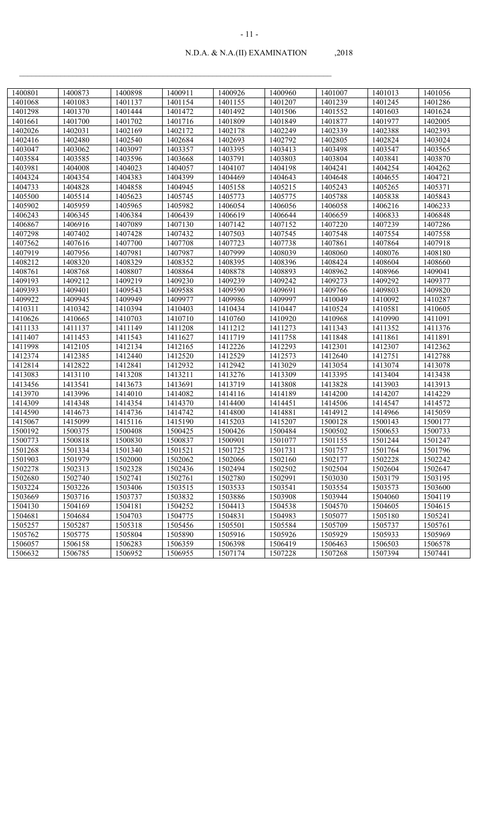| 1400801 | 1400873 | 1400898 | 1400911 | 1400926 | 1400960 | 1401007 | 1401013 | 1401056 |
|---------|---------|---------|---------|---------|---------|---------|---------|---------|
| 1401068 | 1401083 | 1401137 | 1401154 | 1401155 | 1401207 | 1401239 | 1401245 | 1401286 |
| 1401298 | 1401370 | 1401444 | 1401472 | 1401492 | 1401506 | 1401552 | 1401603 | 1401624 |
| 1401661 | 1401700 | 1401702 | 1401716 | 1401809 | 1401849 | 1401877 | 1401977 | 1402005 |
| 1402026 | 1402031 | 1402169 | 1402172 | 1402178 | 1402249 | 1402339 | 1402388 | 1402393 |
| 1402416 | 1402480 | 1402540 | 1402684 | 1402693 | 1402792 | 1402805 | 1402824 | 1403024 |
| 1403047 | 1403062 | 1403097 | 1403357 | 1403395 | 1403413 | 1403498 | 1403547 | 1403565 |
| 1403584 | 1403585 | 1403596 | 1403668 | 1403791 | 1403803 | 1403804 | 1403841 | 1403870 |
| 1403981 | 1404008 | 1404023 | 1404057 | 1404107 | 1404198 | 1404241 | 1404254 | 1404262 |
| 1404324 | 1404354 | 1404383 | 1404399 | 1404469 | 1404643 | 1404648 | 1404655 | 1404721 |
| 1404733 | 1404828 | 1404858 | 1404945 | 1405158 | 1405215 | 1405243 | 1405265 | 1405371 |
| 1405500 | 1405514 | 1405623 | 1405745 | 1405773 | 1405775 | 1405788 | 1405838 | 1405843 |
| 1405902 | 1405959 | 1405965 | 1405982 | 1406054 | 1406056 | 1406058 | 1406216 | 1406233 |
| 1406243 | 1406345 | 1406384 | 1406439 | 1406619 | 1406644 | 1406659 | 1406833 | 1406848 |
| 1406867 | 1406916 | 1407089 | 1407130 | 1407142 | 1407152 | 1407220 | 1407239 | 1407286 |
| 1407298 | 1407402 | 1407428 | 1407432 | 1407503 | 1407545 | 1407548 | 1407554 | 1407558 |
| 1407562 | 1407616 | 1407700 | 1407708 | 1407723 | 1407738 | 1407861 | 1407864 | 1407918 |
| 1407919 | 1407956 | 1407981 | 1407987 | 1407999 | 1408039 | 1408060 | 1408076 | 1408180 |
| 1408212 | 1408320 | 1408329 | 1408352 | 1408395 | 1408396 | 1408424 | 1408604 | 1408660 |
| 1408761 | 1408768 | 1408807 | 1408864 | 1408878 | 1408893 | 1408962 | 1408966 | 1409041 |
| 1409193 | 1409212 | 1409219 | 1409230 | 1409239 | 1409242 | 1409273 | 1409292 | 1409377 |
| 1409393 | 1409401 | 1409543 | 1409588 | 1409590 | 1409691 | 1409766 | 1409803 | 1409820 |
| 1409922 | 1409945 | 1409949 | 1409977 | 1409986 | 1409997 | 1410049 | 1410092 | 1410287 |
| 1410311 | 1410342 | 1410394 | 1410403 | 1410434 | 1410447 | 1410524 | 1410581 | 1410605 |
| 1410626 | 1410665 | 1410703 | 1410710 | 1410760 | 1410920 | 1410968 | 1410990 | 1411091 |
| 1411133 | 1411137 | 1411149 | 1411208 | 1411212 | 1411273 | 1411343 | 1411352 | 1411376 |
| 1411407 | 1411453 | 1411543 | 1411627 | 1411719 | 1411758 | 1411848 | 1411861 | 1411891 |
| 1411998 | 1412105 | 1412134 | 1412165 | 1412226 | 1412293 | 1412301 | 1412307 | 1412362 |
| 1412374 | 1412385 | 1412440 | 1412520 | 1412529 | 1412573 | 1412640 | 1412751 | 1412788 |
| 1412814 | 1412822 | 1412841 | 1412932 | 1412942 | 1413029 | 1413054 | 1413074 | 1413078 |
| 1413083 | 1413110 | 1413208 | 1413211 | 1413276 | 1413309 | 1413395 | 1413404 | 1413438 |
| 1413456 | 1413541 | 1413673 | 1413691 | 1413719 | 1413808 | 1413828 | 1413903 | 1413913 |
| 1413970 | 1413996 | 1414010 | 1414082 | 1414116 | 1414189 | 1414200 | 1414207 | 1414229 |
| 1414309 | 1414348 | 1414354 | 1414370 | 1414400 | 1414451 | 1414506 | 1414547 | 1414572 |
| 1414590 | 1414673 | 1414736 | 1414742 | 1414800 | 1414881 | 1414912 | 1414966 | 1415059 |
| 1415067 | 1415099 | 1415116 | 1415190 | 1415203 | 1415207 | 1500128 | 1500143 | 1500177 |
| 1500192 | 1500375 | 1500408 | 1500425 | 1500426 | 1500484 | 1500502 | 1500653 | 1500733 |
| 1500773 | 1500818 | 1500830 | 1500837 | 1500901 | 1501077 | 1501155 | 1501244 | 1501247 |
| 1501268 | 1501334 | 1501340 | 1501521 | 1501725 | 1501731 | 1501757 | 1501764 | 1501796 |
| 1501903 | 1501979 | 1502000 | 1502062 | 1502066 | 1502160 | 1502177 | 1502228 | 1502242 |
| 1502278 | 1502313 | 1502328 | 1502436 | 1502494 | 1502502 | 1502504 | 1502604 | 1502647 |
| 1502680 | 1502740 | 1502741 | 1502761 | 1502780 | 1502991 | 1503030 | 1503179 | 1503195 |
| 1503224 | 1503226 | 1503406 | 1503515 | 1503533 | 1503541 | 1503554 | 1503573 | 1503600 |
| 1503669 | 1503716 | 1503737 | 1503832 | 1503886 | 1503908 | 1503944 | 1504060 | 1504119 |
| 1504130 | 1504169 | 1504181 | 1504252 | 1504413 | 1504538 | 1504570 | 1504605 | 1504615 |
| 1504681 | 1504684 | 1504703 | 1504775 | 1504831 | 1504983 | 1505077 | 1505180 | 1505241 |
| 1505257 | 1505287 | 1505318 | 1505456 | 1505501 | 1505584 | 1505709 | 1505737 | 1505761 |
| 1505762 | 1505775 | 1505804 | 1505890 | 1505916 | 1505926 | 1505929 | 1505933 | 1505969 |
| 1506057 | 1506158 | 1506283 | 1506359 | 1506398 | 1506419 | 1506463 | 1506503 | 1506578 |
| 1506632 | 1506785 | 1506952 | 1506955 | 1507174 | 1507228 | 1507268 | 1507394 | 1507441 |
|         |         |         |         |         |         |         |         |         |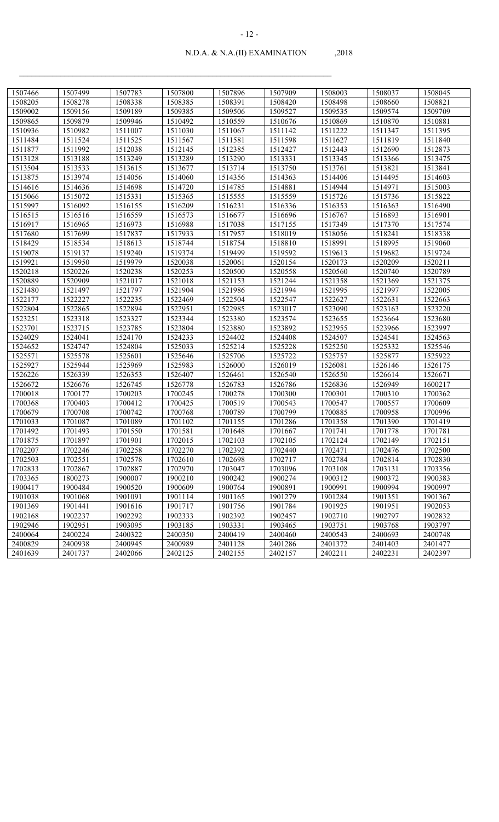| 1507466 | 1507499 | 1507783 | 1507800 | 1507896 | 1507909 | 1508003 | 1508037 | 1508045 |
|---------|---------|---------|---------|---------|---------|---------|---------|---------|
| 1508205 | 1508278 | 1508338 | 1508385 | 1508391 | 1508420 | 1508498 | 1508660 | 1508821 |
| 1509002 | 1509156 | 1509189 | 1509385 | 1509506 | 1509527 | 1509535 | 1509574 | 1509709 |
| 1509865 | 1509879 | 1509946 | 1510492 | 1510559 | 1510676 | 1510869 | 1510870 | 1510881 |
| 1510936 | 1510982 | 1511007 | 1511030 | 1511067 | 1511142 | 1511222 | 1511347 | 1511395 |
| 1511484 | 1511524 | 1511525 | 1511567 | 1511581 | 1511598 | 1511627 | 1511819 | 1511840 |
| 1511877 | 1511992 | 1512038 | 1512145 | 1512385 | 1512427 | 1512443 | 1512690 | 1512873 |
| 1513128 | 1513188 | 1513249 | 1513289 | 1513290 | 1513331 | 1513345 | 1513366 | 1513475 |
| 1513504 | 1513533 | 1513615 | 1513677 | 1513714 | 1513750 | 1513761 | 1513821 | 1513841 |
| 1513875 | 1513974 | 1514056 | 1514060 | 1514356 | 1514363 | 1514406 | 1514495 | 1514603 |
| 1514616 | 1514636 | 1514698 | 1514720 | 1514785 | 1514881 | 1514944 | 1514971 | 1515003 |
| 1515066 | 1515072 | 1515331 | 1515365 | 1515555 | 1515559 | 1515726 | 1515736 | 1515822 |
| 1515997 | 1516092 | 1516155 | 1516209 | 1516231 | 1516336 | 1516353 | 1516363 | 1516490 |
| 1516515 | 1516516 | 1516559 | 1516573 | 1516677 | 1516696 | 1516767 | 1516893 | 1516901 |
| 1516917 | 1516965 | 1516973 | 1516988 | 1517038 | 1517155 | 1517349 | 1517370 | 1517574 |
| 1517680 | 1517699 | 1517837 | 1517933 | 1517957 | 1518019 | 1518056 | 1518241 | 1518338 |
| 1518429 | 1518534 | 1518613 | 1518744 | 1518754 | 1518810 | 1518991 | 1518995 | 1519060 |
| 1519078 | 1519137 | 1519240 | 1519374 | 1519499 | 1519592 | 1519613 | 1519682 | 1519724 |
| 1519921 | 1519950 | 1519979 | 1520038 | 1520061 | 1520154 | 1520173 | 1520209 | 1520211 |
| 1520218 | 1520226 | 1520238 | 1520253 | 1520500 | 1520558 | 1520560 | 1520740 | 1520789 |
| 1520889 | 1520909 | 1521017 | 1521018 | 1521153 | 1521244 | 1521358 | 1521369 | 1521375 |
| 1521480 | 1521497 | 1521797 | 1521904 | 1521986 | 1521994 | 1521995 | 1521997 | 1522005 |
| 1522177 | 1522227 | 1522235 | 1522469 | 1522504 | 1522547 | 1522627 | 1522631 | 1522663 |
| 1522804 | 1522865 | 1522894 | 1522951 | 1522985 | 1523017 | 1523090 | 1523163 | 1523220 |
| 1523251 | 1523318 | 1523327 | 1523344 | 1523380 | 1523574 | 1523655 | 1523664 | 1523680 |
| 1523701 | 1523715 | 1523785 | 1523804 | 1523880 | 1523892 | 1523955 | 1523966 | 1523997 |
| 1524029 | 1524041 | 1524170 | 1524233 | 1524402 | 1524408 | 1524507 | 1524541 | 1524563 |
| 1524652 | 1524747 | 1524804 | 1525033 | 1525214 | 1525228 | 1525250 | 1525332 | 1525546 |
| 1525571 | 1525578 | 1525601 | 1525646 | 1525706 | 1525722 | 1525757 | 1525877 | 1525922 |
| 1525927 | 1525944 | 1525969 | 1525983 | 1526000 | 1526019 | 1526081 | 1526146 | 1526175 |
| 1526226 | 1526339 | 1526353 | 1526407 | 1526461 | 1526540 | 1526550 | 1526614 | 1526671 |
| 1526672 | 1526676 | 1526745 | 1526778 | 1526783 | 1526786 | 1526836 | 1526949 | 1600217 |
| 1700018 | 1700177 | 1700203 | 1700245 | 1700278 | 1700300 | 1700301 | 1700310 | 1700362 |
| 1700368 | 1700403 | 1700412 | 1700425 | 1700519 | 1700543 | 1700547 | 1700557 | 1700609 |
| 1700679 | 1700708 | 1700742 | 1700768 | 1700789 | 1700799 | 1700885 | 1700958 | 1700996 |
| 1701033 | 1701087 | 1701089 | 1701102 | 1701155 | 1701286 | 1701358 | 1701390 | 1701419 |
| 1701492 | 1701493 | 1701550 | 1701581 | 1701648 | 1701667 | 1701741 | 1701778 | 1701781 |
| 1701875 | 1701897 | 1701901 | 1702015 | 1702103 | 1702105 | 1702124 | 1702149 | 1702151 |
| 1702207 | 1702246 | 1702258 | 1702270 | 1702392 | 1702440 | 1702471 | 1702476 | 1702500 |
| 1702503 | 1702551 | 1702578 | 1702610 | 1702698 | 1702717 | 1702784 | 1702814 | 1702830 |
| 1702833 | 1702867 | 1702887 | 1702970 | 1703047 | 1703096 | 1703108 | 1703131 | 1703356 |
| 1703365 | 1800273 | 1900007 | 1900210 | 1900242 | 1900274 | 1900312 | 1900372 | 1900383 |
| 1900417 | 1900484 | 1900520 | 1900609 | 1900764 | 1900891 | 1900991 | 1900994 | 1900997 |
| 1901038 | 1901068 | 1901091 | 1901114 | 1901165 | 1901279 | 1901284 | 1901351 | 1901367 |
| 1901369 | 1901441 | 1901616 | 1901717 | 1901756 | 1901784 | 1901925 | 1901951 | 1902053 |
| 1902168 | 1902237 | 1902292 | 1902333 | 1902392 | 1902457 | 1902710 | 1902797 | 1902832 |
| 1902946 | 1902951 | 1903095 | 1903185 | 1903331 | 1903465 | 1903751 | 1903768 | 1903797 |
| 2400064 | 2400224 | 2400322 | 2400350 | 2400419 | 2400460 | 2400543 | 2400693 | 2400748 |
| 2400829 | 2400938 | 2400945 | 2400989 | 2401128 | 2401286 | 2401372 | 2401403 | 2401477 |
| 2401639 | 2401737 | 2402066 | 2402125 | 2402155 | 2402157 | 2402211 | 2402231 | 2402397 |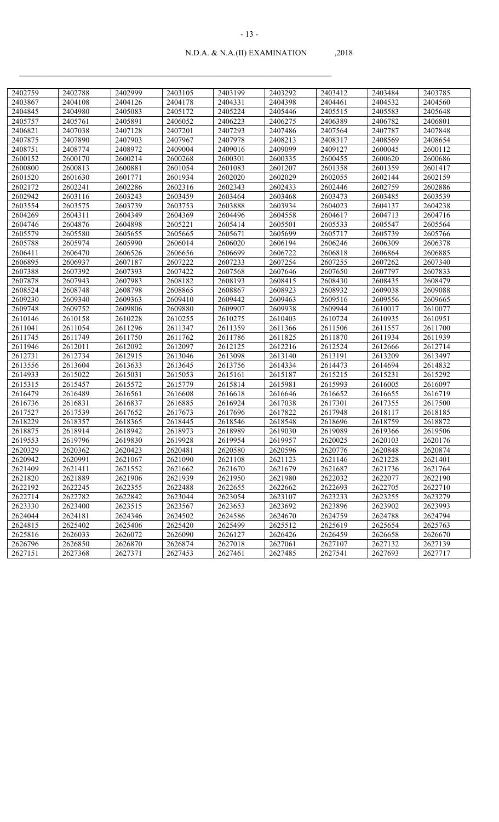| 2402759 | 2402788 | 2402999 | 2403105 | 2403199 | 2403292 | 2403412 | 2403484 | 2403785 |
|---------|---------|---------|---------|---------|---------|---------|---------|---------|
| 2403867 | 2404108 | 2404126 | 2404178 | 2404331 | 2404398 | 2404461 | 2404532 | 2404560 |
| 2404845 | 2404980 | 2405083 | 2405172 | 2405224 | 2405446 | 2405515 | 2405583 | 2405648 |
| 2405757 | 2405761 | 2405891 | 2406052 | 2406223 | 2406275 | 2406389 | 2406782 | 2406801 |
| 2406821 | 2407038 | 2407128 | 2407201 | 2407293 | 2407486 | 2407564 | 2407787 | 2407848 |
| 2407875 | 2407890 | 2407903 | 2407967 | 2407978 | 2408213 | 2408317 | 2408569 | 2408654 |
| 2408751 | 2408774 | 2408972 | 2409004 | 2409016 | 2409099 | 2409127 | 2600045 | 2600112 |
| 2600152 | 2600170 | 2600214 | 2600268 | 2600301 | 2600335 | 2600455 | 2600620 | 2600686 |
| 2600800 | 2600813 | 2600881 | 2601054 | 2601083 | 2601207 | 2601358 | 2601359 | 2601417 |
| 2601520 | 2601630 | 2601771 | 2601934 | 2602020 | 2602029 | 2602055 | 2602144 | 2602159 |
| 2602172 | 2602241 | 2602286 | 2602316 | 2602343 | 2602433 | 2602446 | 2602759 | 2602886 |
| 2602942 | 2603116 | 2603243 | 2603459 | 2603464 | 2603468 | 2603473 | 2603485 | 2603539 |
| 2603554 | 2603575 | 2603739 | 2603753 | 2603888 | 2603934 | 2604023 | 2604137 | 2604238 |
| 2604269 | 2604311 | 2604349 | 2604369 | 2604496 | 2604558 | 2604617 | 2604713 | 2604716 |
| 2604746 | 2604876 | 2604898 | 2605221 | 2605414 | 2605501 | 2605533 | 2605547 | 2605564 |
| 2605579 | 2605580 | 2605655 | 2605665 | 2605671 | 2605699 | 2605717 | 2605739 | 2605766 |
| 2605788 | 2605974 | 2605990 | 2606014 | 2606020 | 2606194 | 2606246 | 2606309 | 2606378 |
| 2606411 | 2606470 | 2606526 | 2606656 | 2606699 | 2606722 | 2606818 | 2606864 | 2606885 |
| 2606895 | 2606937 | 2607187 | 2607222 | 2607233 | 2607254 | 2607255 | 2607262 | 2607340 |
| 2607388 | 2607392 | 2607393 | 2607422 | 2607568 | 2607646 | 2607650 | 2607797 | 2607833 |
| 2607878 | 2607943 | 2607983 | 2608182 | 2608193 | 2608415 | 2608430 | 2608435 | 2608479 |
| 2608524 | 2608748 | 2608798 | 2608865 | 2608867 | 2608923 | 2608932 | 2609038 | 2609088 |
| 2609230 | 2609340 | 2609363 | 2609410 | 2609442 | 2609463 | 2609516 | 2609556 | 2609665 |
| 2609748 | 2609752 | 2609806 | 2609880 | 2609907 | 2609938 | 2609944 | 2610017 | 2610077 |
| 2610146 | 2610158 | 2610228 | 2610255 | 2610275 | 2610403 | 2610724 | 2610935 | 2610951 |
| 2611041 | 2611054 | 2611296 | 2611347 | 2611359 | 2611366 | 2611506 | 2611557 | 2611700 |
| 2611745 | 2611749 | 2611750 | 2611762 | 2611786 | 2611825 | 2611870 | 2611934 | 2611939 |
| 2611946 | 2612011 | 2612092 | 2612097 | 2612125 | 2612216 | 2612524 | 2612666 | 2612714 |
| 2612731 | 2612734 | 2612915 | 2613046 | 2613098 | 2613140 | 2613191 | 2613209 | 2613497 |
| 2613556 | 2613604 | 2613633 | 2613645 | 2613756 | 2614334 | 2614473 | 2614694 | 2614832 |
| 2614933 | 2615022 | 2615031 | 2615053 | 2615161 | 2615187 | 2615215 | 2615231 | 2615292 |
| 2615315 | 2615457 | 2615572 | 2615779 | 2615814 | 2615981 | 2615993 | 2616005 | 2616097 |
| 2616479 | 2616489 | 2616561 | 2616608 | 2616618 | 2616646 | 2616652 | 2616655 | 2616719 |
| 2616736 | 2616831 | 2616837 | 2616885 | 2616924 | 2617038 | 2617301 | 2617355 | 2617500 |
| 2617527 | 2617539 | 2617652 | 2617673 | 2617696 | 2617822 | 2617948 | 2618117 | 2618185 |
| 2618229 | 2618357 | 2618365 | 2618445 | 2618546 | 2618548 | 2618696 | 2618759 | 2618872 |
| 2618875 | 2618914 | 2618942 | 2618973 | 2618989 | 2619030 | 2619089 | 2619366 | 2619506 |
| 2619553 | 2619796 | 2619830 | 2619928 | 2619954 | 2619957 | 2620025 | 2620103 | 2620176 |
| 2620329 | 2620362 | 2620423 | 2620481 | 2620580 | 2620596 | 2620776 | 2620848 | 2620874 |
| 2620942 | 2620991 | 2621067 | 2621090 | 2621108 | 2621123 | 2621146 | 2621228 | 2621401 |
| 2621409 | 2621411 | 2621552 | 2621662 | 2621670 | 2621679 | 2621687 | 2621736 | 2621764 |
| 2621820 | 2621889 | 2621906 | 2621939 | 2621950 | 2621980 | 2622032 | 2622077 | 2622190 |
| 2622192 | 2622245 | 2622355 | 2622488 | 2622655 | 2622662 | 2622693 | 2622705 | 2622710 |
| 2622714 | 2622782 | 2622842 | 2623044 | 2623054 | 2623107 | 2623233 | 2623255 | 2623279 |
| 2623330 | 2623400 | 2623515 | 2623567 | 2623653 | 2623692 | 2623896 | 2623902 | 2623993 |
| 2624044 | 2624181 | 2624346 | 2624502 | 2624586 | 2624670 | 2624759 | 2624788 | 2624794 |
| 2624815 | 2625402 | 2625406 | 2625420 | 2625499 | 2625512 | 2625619 | 2625654 | 2625763 |
| 2625816 | 2626033 | 2626072 | 2626090 | 2626127 | 2626426 | 2626459 | 2626658 | 2626670 |
| 2626796 | 2626850 | 2626870 | 2626874 | 2627018 | 2627061 | 2627107 | 2627132 | 2627139 |
| 2627151 | 2627368 | 2627371 | 2627453 | 2627461 | 2627485 | 2627541 | 2627693 | 2627717 |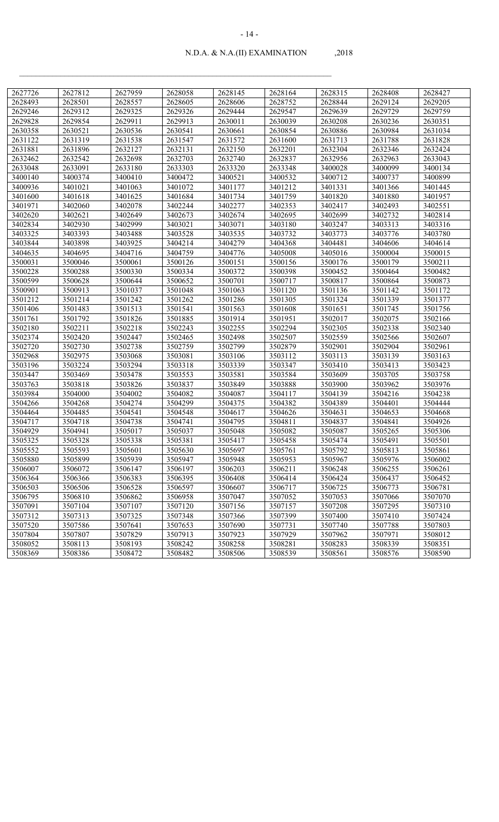| 2627726 | 2627812 | 2627959 | 2628058 | 2628145 | 2628164 | 2628315 | 2628408 | 2628427 |
|---------|---------|---------|---------|---------|---------|---------|---------|---------|
| 2628493 | 2628501 | 2628557 | 2628605 | 2628606 | 2628752 | 2628844 | 2629124 | 2629205 |
| 2629246 | 2629312 | 2629325 | 2629326 | 2629444 | 2629547 | 2629639 | 2629729 | 2629759 |
| 2629828 | 2629854 | 2629911 | 2629913 | 2630011 | 2630039 | 2630208 | 2630236 | 2630351 |
| 2630358 | 2630521 | 2630536 | 2630541 | 2630661 | 2630854 | 2630886 | 2630984 | 2631034 |
| 2631122 | 2631319 | 2631538 | 2631547 | 2631572 | 2631600 | 2631713 | 2631788 | 2631828 |
| 2631881 | 2631896 | 2632127 | 2632131 | 2632150 | 2632201 | 2632304 | 2632346 | 2632424 |
| 2632462 | 2632542 | 2632698 | 2632703 | 2632740 | 2632837 | 2632956 | 2632963 | 2633043 |
| 2633048 | 2633091 | 2633180 | 2633303 | 2633320 | 2633348 | 3400028 | 3400099 | 3400134 |
| 3400140 | 3400374 | 3400410 | 3400472 | 3400521 | 3400532 | 3400712 | 3400737 | 3400899 |
| 3400936 | 3401021 | 3401063 | 3401072 | 3401177 | 3401212 | 3401331 | 3401366 | 3401445 |
| 3401600 | 3401618 | 3401625 | 3401684 | 3401734 | 3401759 | 3401820 | 3401880 | 3401957 |
| 3401971 | 3402060 | 3402078 | 3402244 | 3402277 | 3402353 | 3402417 | 3402493 | 3402551 |
| 3402620 | 3402621 | 3402649 | 3402673 | 3402674 | 3402695 | 3402699 | 3402732 | 3402814 |
| 3402834 | 3402930 | 3402999 | 3403021 | 3403071 | 3403180 | 3403247 | 3403313 | 3403316 |
| 3403325 | 3403393 | 3403488 | 3403528 | 3403535 | 3403732 | 3403773 | 3403776 | 3403780 |
| 3403844 | 3403898 | 3403925 | 3404214 | 3404279 | 3404368 | 3404481 | 3404606 | 3404614 |
| 3404635 | 3404695 | 3404716 | 3404759 | 3404776 | 3405008 | 3405016 | 3500004 | 3500015 |
| 3500031 | 3500046 | 3500061 | 3500126 | 3500151 | 3500156 | 3500176 | 3500179 | 3500211 |
| 3500228 | 3500288 | 3500330 | 3500334 | 3500372 | 3500398 | 3500452 | 3500464 | 3500482 |
| 3500599 | 3500628 | 3500644 | 3500652 | 3500701 | 3500717 | 3500817 | 3500864 | 3500873 |
| 3500901 | 3500913 | 3501037 | 3501048 | 3501063 | 3501120 | 3501136 | 3501142 | 3501172 |
| 3501212 | 3501214 | 3501242 | 3501262 | 3501286 | 3501305 | 3501324 | 3501339 | 3501377 |
| 3501406 | 3501483 | 3501513 | 3501541 | 3501563 | 3501608 | 3501651 | 3501745 | 3501756 |
| 3501761 | 3501792 | 3501826 | 3501885 | 3501914 | 3501951 | 3502017 | 3502075 | 3502166 |
| 3502180 | 3502211 | 3502218 | 3502243 | 3502255 | 3502294 | 3502305 | 3502338 | 3502340 |
| 3502374 | 3502420 | 3502447 | 3502465 | 3502498 | 3502507 | 3502559 | 3502566 | 3502607 |
| 3502720 | 3502730 | 3502738 | 3502759 | 3502799 | 3502879 | 3502901 | 3502904 | 3502961 |
| 3502968 | 3502975 | 3503068 | 3503081 | 3503106 | 3503112 | 3503113 | 3503139 | 3503163 |
| 3503196 | 3503224 | 3503294 | 3503318 | 3503339 | 3503347 | 3503410 | 3503413 | 3503423 |
| 3503447 | 3503469 | 3503478 | 3503553 | 3503581 | 3503584 | 3503609 | 3503705 | 3503758 |
| 3503763 | 3503818 | 3503826 | 3503837 | 3503849 | 3503888 | 3503900 | 3503962 | 3503976 |
| 3503984 | 3504000 | 3504002 | 3504082 | 3504087 | 3504117 | 3504139 | 3504216 | 3504238 |
| 3504266 | 3504268 | 3504274 | 3504299 | 3504375 | 3504382 | 3504389 | 3504401 | 3504444 |
| 3504464 | 3504485 | 3504541 | 3504548 | 3504617 | 3504626 | 3504631 | 3504653 | 3504668 |
| 3504717 | 3504718 | 3504738 | 3504741 | 3504795 | 3504811 | 3504837 | 3504841 | 3504926 |
| 3504929 | 3504941 | 3505017 | 3505037 | 3505048 | 3505082 | 3505087 | 3505265 | 3505306 |
| 3505325 | 3505328 | 3505338 | 3505381 | 3505417 | 3505458 | 3505474 | 3505491 | 3505501 |
| 3505552 | 3505593 | 3505601 | 3505630 | 3505697 | 3505761 | 3505792 | 3505813 | 3505861 |
| 3505880 | 3505899 | 3505939 | 3505947 | 3505948 | 3505953 | 3505967 | 3505976 | 3506002 |
| 3506007 | 3506072 | 3506147 | 3506197 | 3506203 | 3506211 | 3506248 | 3506255 | 3506261 |
| 3506364 | 3506366 | 3506383 | 3506395 | 3506408 | 3506414 | 3506424 | 3506437 | 3506452 |
| 3506503 | 3506506 | 3506528 | 3506597 | 3506607 | 3506717 | 3506725 | 3506773 | 3506781 |
| 3506795 | 3506810 | 3506862 | 3506958 | 3507047 | 3507052 | 3507053 | 3507066 | 3507070 |
| 3507091 | 3507104 | 3507107 | 3507120 | 3507156 | 3507157 | 3507208 | 3507295 | 3507310 |
| 3507312 | 3507313 | 3507325 | 3507348 | 3507366 | 3507399 | 3507400 | 3507410 | 3507424 |
| 3507520 | 3507586 | 3507641 | 3507653 | 3507690 | 3507731 | 3507740 | 3507788 | 3507803 |
| 3507804 | 3507807 | 3507829 | 3507913 | 3507923 | 3507929 | 3507962 | 3507971 | 3508012 |
| 3508052 | 3508113 | 3508193 | 3508242 | 3508258 | 3508281 | 3508283 | 3508339 | 3508351 |
| 3508369 | 3508386 | 3508472 | 3508482 | 3508506 | 3508539 | 3508561 | 3508576 | 3508590 |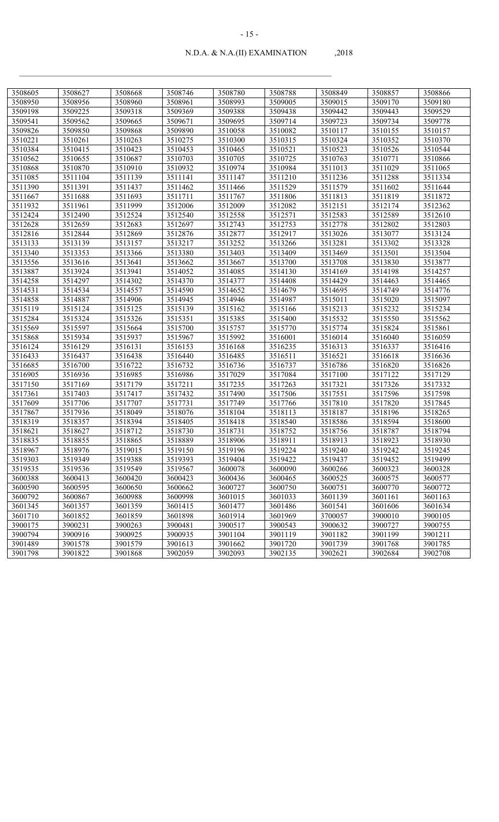| 3508605            | 3508627            | 3508668 |                    | 3508780            | 3508788            |                    |                    | 3508866            |
|--------------------|--------------------|---------|--------------------|--------------------|--------------------|--------------------|--------------------|--------------------|
|                    |                    |         | 3508746            |                    |                    | 3508849            | 3508857            |                    |
| 3508950<br>3509198 | 3508956<br>3509225 | 3508960 | 3508961<br>3509369 | 3508993<br>3509388 | 3509005<br>3509438 | 3509015<br>3509442 | 3509170<br>3509443 | 3509180<br>3509529 |
|                    |                    | 3509318 |                    | 3509695            |                    |                    |                    |                    |
| 3509541<br>3509826 | 3509562            | 3509665 | 3509671            |                    | 3509714            | 3509723            | 3509734            | 3509778            |
|                    | 3509850            | 3509868 | 3509890            | 3510058            | 3510082            | 3510117            | 3510155            | 3510157            |
| 3510221            | 3510261            | 3510263 | 3510275            | 3510300            | 3510315            | 3510324            | 3510352            | 3510370            |
| 3510384            | 3510415            | 3510423 | 3510453            | 3510465            | 3510521            | 3510523            | 3510526            | 3510544            |
| 3510562            | 3510655            | 3510687 | 3510703            | 3510705            | 3510725            | 3510763            | 3510771            | 3510866            |
| 3510868            | 3510870            | 3510910 | 3510932            | 3510974            | 3510984            | 3511013            | 3511029            | 3511065            |
| 3511085            | 3511104            | 3511139 | 3511141            | 3511147            | 3511210            | 3511236            | 3511288            | 3511334            |
| 3511390            | 3511391            | 3511437 | 3511462            | 3511466            | 3511529            | 3511579            | 3511602            | 3511644            |
| 3511667            | 3511688            | 3511693 | 3511711            | 3511767            | 3511806            | 3511813            | 3511819            | 3511872            |
| 3511932            | 3511961            | 3511999 | 3512006            | 3512009            | 3512082            | 3512151            | 3512174            | 3512362            |
| 3512424            | 3512490            | 3512524 | 3512540            | 3512558            | 3512571            | 3512583            | 3512589            | 3512610            |
| 3512628            | 3512659            | 3512683 | 3512697            | 3512743            | 3512753            | 3512778            | 3512802            | 3512803            |
| 3512816            | 3512844            | 3512869 | 3512876            | 3512877            | 3512917            | 3513026            | 3513077            | 3513124            |
| 3513133            | 3513139            | 3513157 | 3513217            | 3513252            | 3513266            | 3513281            | 3513302            | 3513328            |
| 3513340            | 3513353            | 3513366 | 3513380            | 3513403            | 3513409            | 3513469            | 3513501            | 3513504            |
| 3513556            | 3513616            | 3513641 | 3513662            | 3513667            | 3513700            | 3513708            | 3513830            | 3513877            |
| 3513887            | 3513924            | 3513941 | 3514052            | 3514085            | 3514130            | 3514169            | 3514198            | 3514257            |
| 3514258            | 3514297            | 3514302 | 3514370            | 3514377            | 3514408            | 3514429            | 3514463            | 3514465            |
| 3514531            | 3514534            | 3514557 | 3514590            | 3514652            | 3514679            | 3514695            | 3514749            | 3514776            |
| 3514858            | 3514887            | 3514906 | 3514945            | 3514946            | 3514987            | 3515011            | 3515020            | 3515097            |
| 3515119            | 3515124            | 3515125 | 3515139            | 3515162            | 3515166            | 3515213            | 3515232            | 3515234            |
| 3515284            | 3515324            | 3515326 | 3515351            | 3515385            | 3515400            | 3515532            | 3515550            | 3515562            |
| 3515569            | 3515597            | 3515664 | 3515700            | 3515757            | 3515770            | 3515774            | 3515824            | 3515861            |
| 3515868            | 3515934            | 3515937 | 3515967            | 3515992            | 3516001            | 3516014            | 3516040            | 3516059            |
| 3516124            | 3516129            | 3516131 | 3516153            | 3516168            | 3516235            | 3516313            | 3516337            | 3516416            |
| 3516433            | 3516437            | 3516438 | 3516440            | 3516485            | 3516511            | 3516521            | 3516618            | 3516636            |
| 3516685            | 3516700            | 3516722 | 3516732            | 3516736            | 3516737            | 3516786            | 3516820            | 3516826            |
| 3516905            | 3516936            | 3516985 | 3516986            | 3517029            | 3517084            | 3517100            | 3517122            | 3517129            |
| 3517150            | 3517169            | 3517179 | 3517211            | 3517235            | 3517263            | 3517321            | 3517326            | 3517332            |
| 3517361            | 3517403            | 3517417 | 3517432            | 3517490            | 3517506            | 3517551            | 3517596            | 3517598            |
| 3517609            | 3517706            | 3517707 | 3517731            | 3517749            | 3517766            | 3517810            | 3517820            | 3517845            |
| 3517867            | 3517936            | 3518049 | 3518076            | 3518104            | 3518113            | 3518187            | 3518196            | 3518265            |
| 3518319            | 3518357            | 3518394 | 3518405            | 3518418            | 3518540            | 3518586            | 3518594            | 3518600            |
| 3518621            | 3518627            | 3518712 | 3518730            | 3518731            | 3518752            | 3518756            | 3518787            | 3518794            |
| 3518835            | 3518855            | 3518865 | 3518889            | 3518906            | 3518911            | 3518913            | 3518923            | 3518930            |
| 3518967            | 3518976            | 3519015 | 3519150            | 3519196            | 3519224            | 3519240            | 3519242            | 3519245            |
| 3519303            | 3519349            | 3519388 | 3519393            | 3519404            | 3519422            | 3519437            | 3519452            | 3519499            |
| 3519535            | 3519536            | 3519549 | 3519567            | 3600078            | 3600090            | 3600266            | 3600323            | 3600328            |
| 3600388            | 3600413            | 3600420 | 3600423            | 3600436            | 3600465            | 3600525            | 3600575            | 3600577            |
| 3600590            | 3600595            | 3600650 | 3600662            | 3600727            | 3600750            | 3600751            | 3600770            | 3600772            |
| 3600792            | 3600867            | 3600988 | 3600998            | 3601015            | 3601033            | 3601139            | 3601161            | 3601163            |
| 3601345            | 3601357            | 3601359 | 3601415            | 3601477            | 3601486            | 3601541            | 3601606            | 3601634            |
| 3601710            | 3601852            | 3601859 | 3601898            | 3601914            | 3601969            | 3700057            | 3900010            | 3900105            |
| 3900175            | 3900231            | 3900263 | 3900481            | 3900517            | 3900543            | 3900632            | 3900727            | 3900755            |
| 3900794            | 3900916            | 3900925 | 3900935            | 3901104            | 3901119            | 3901182            | 3901199            | 3901211            |
| 3901489            | 3901578            | 3901579 | 3901613            | 3901662            | 3901720            | 3901739            | 3901768            | 3901785            |
| 3901798            | 3901822            | 3901868 | 3902059            | 3902093            | 3902135            | 3902621            | 3902684            | 3902708            |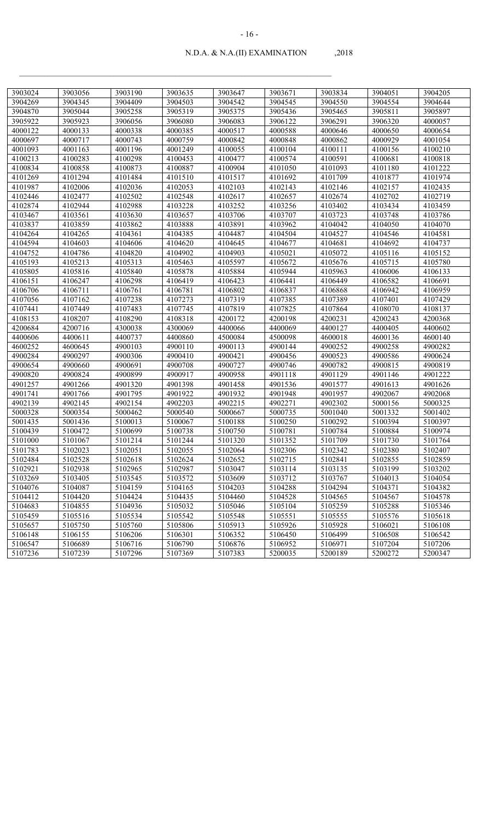| 3903024 | 3903056 | 3903190 | 3903635 | 3903647 | 3903671 | 3903834 | 3904051 | 3904205 |
|---------|---------|---------|---------|---------|---------|---------|---------|---------|
| 3904269 | 3904345 | 3904409 | 3904503 | 3904542 | 3904545 | 3904550 | 3904554 | 3904644 |
| 3904870 | 3905044 | 3905258 | 3905319 | 3905375 | 3905436 | 3905465 | 3905811 | 3905897 |
| 3905922 | 3905923 | 3906056 | 3906080 | 3906083 | 3906122 | 3906291 | 3906320 | 4000057 |
| 4000122 | 4000133 | 4000338 | 4000385 | 4000517 | 4000588 | 4000646 | 4000650 | 4000654 |
| 4000697 | 4000717 | 4000743 | 4000759 | 4000842 | 4000848 | 4000862 | 4000929 | 4001054 |
| 4001093 | 4001163 | 4001196 | 4001249 | 4100055 | 4100104 | 4100111 | 4100156 | 4100210 |
| 4100213 | 4100283 | 4100298 | 4100453 | 4100477 | 4100574 | 4100591 | 4100681 | 4100818 |
| 4100834 | 4100858 | 4100873 | 4100887 | 4100904 | 4101050 | 4101093 | 4101180 | 4101222 |
| 4101269 | 4101294 | 4101484 | 4101510 | 4101517 | 4101692 | 4101709 | 4101877 | 4101974 |
| 4101987 | 4102006 | 4102036 | 4102053 | 4102103 | 4102143 | 4102146 | 4102157 | 4102435 |
| 4102446 | 4102477 | 4102502 | 4102548 | 4102617 | 4102657 | 4102674 | 4102702 | 4102719 |
| 4102874 | 4102944 | 4102988 | 4103228 | 4103252 | 4103256 | 4103402 | 4103434 | 4103459 |
| 4103467 | 4103561 | 4103630 | 4103657 | 4103706 | 4103707 | 4103723 | 4103748 | 4103786 |
| 4103837 | 4103859 | 4103862 | 4103888 | 4103891 | 4103962 | 4104042 | 4104050 | 4104070 |
| 4104264 | 4104265 | 4104361 | 4104385 | 4104487 | 4104504 | 4104527 | 4104546 | 4104581 |
| 4104594 | 4104603 | 4104606 | 4104620 | 4104645 | 4104677 | 4104681 | 4104692 | 4104737 |
| 4104752 | 4104786 | 4104820 | 4104902 | 4104903 | 4105021 | 4105072 | 4105116 | 4105152 |
| 4105193 | 4105213 | 4105313 | 4105463 | 4105597 | 4105672 | 4105676 | 4105715 | 4105780 |
| 4105805 | 4105816 | 4105840 | 4105878 | 4105884 | 4105944 | 4105963 | 4106006 | 4106133 |
| 4106151 | 4106247 | 4106298 | 4106419 | 4106423 | 4106441 | 4106449 | 4106582 | 4106691 |
| 4106706 | 4106711 | 4106761 | 4106781 | 4106802 | 4106837 | 4106868 | 4106942 | 4106959 |
| 4107056 | 4107162 | 4107238 | 4107273 | 4107319 | 4107385 | 4107389 | 4107401 | 4107429 |
| 4107441 | 4107449 | 4107483 | 4107745 | 4107819 | 4107825 | 4107864 | 4108070 | 4108137 |
| 4108153 | 4108207 | 4108290 | 4108318 | 4200172 | 4200198 | 4200231 | 4200243 | 4200368 |
| 4200684 | 4200716 | 4300038 | 4300069 | 4400066 | 4400069 | 4400127 | 4400405 | 4400602 |
| 4400606 | 4400611 | 4400737 | 4400860 | 4500084 | 4500098 | 4600018 | 4600136 | 4600140 |
| 4600252 | 4600645 | 4900103 | 4900110 | 4900113 | 4900144 | 4900252 | 4900258 | 4900282 |
| 4900284 | 4900297 | 4900306 | 4900410 | 4900421 | 4900456 | 4900523 | 4900586 | 4900624 |
| 4900654 | 4900660 | 4900691 | 4900708 | 4900727 | 4900746 | 4900782 | 4900815 | 4900819 |
| 4900820 | 4900824 | 4900899 | 4900917 | 4900958 | 4901118 | 4901129 | 4901146 | 4901222 |
| 4901257 | 4901266 | 4901320 | 4901398 | 4901458 | 4901536 | 4901577 | 4901613 | 4901626 |
| 4901741 | 4901766 | 4901795 | 4901922 | 4901932 | 4901948 | 4901957 | 4902067 | 4902068 |
| 4902139 | 4902145 | 4902154 | 4902203 | 4902215 | 4902271 | 4902302 | 5000156 | 5000325 |
| 5000328 | 5000354 | 5000462 | 5000540 | 5000667 | 5000735 | 5001040 | 5001332 | 5001402 |
| 5001435 | 5001436 | 5100013 | 5100067 | 5100188 | 5100250 | 5100292 | 5100394 | 5100397 |
| 5100439 | 5100472 | 5100699 | 5100738 | 5100750 | 5100781 | 5100784 | 5100884 | 5100974 |
| 5101000 | 5101067 | 5101214 | 5101244 | 5101320 | 5101352 | 5101709 | 5101730 | 5101764 |
| 5101783 | 5102023 | 5102051 | 5102055 | 5102064 | 5102306 | 5102342 | 5102380 | 5102407 |
| 5102484 | 5102528 | 5102618 | 5102624 | 5102652 | 5102715 | 5102841 | 5102855 | 5102859 |
| 5102921 | 5102938 | 5102965 | 5102987 | 5103047 | 5103114 | 5103135 | 5103199 | 5103202 |
| 5103269 | 5103405 | 5103545 | 5103572 | 5103609 | 5103712 | 5103767 | 5104013 | 5104054 |
| 5104076 | 5104087 | 5104159 | 5104165 | 5104203 | 5104288 | 5104294 | 5104371 | 5104382 |
| 5104412 | 5104420 | 5104424 | 5104435 | 5104460 | 5104528 | 5104565 | 5104567 | 5104578 |
| 5104683 | 5104855 | 5104936 | 5105032 | 5105046 | 5105104 | 5105259 | 5105288 | 5105346 |
| 5105459 | 5105516 | 5105534 | 5105542 | 5105548 | 5105551 | 5105555 | 5105576 | 5105618 |
| 5105657 | 5105750 | 5105760 | 5105806 | 5105913 | 5105926 | 5105928 | 5106021 | 5106108 |
| 5106148 | 5106155 | 5106206 | 5106301 | 5106352 | 5106450 | 5106499 | 5106508 | 5106542 |
| 5106547 | 5106689 | 5106716 | 5106790 | 5106876 | 5106952 | 5106971 | 5107204 | 5107206 |
| 5107236 | 5107239 | 5107296 | 5107369 | 5107383 | 5200035 | 5200189 | 5200272 | 5200347 |